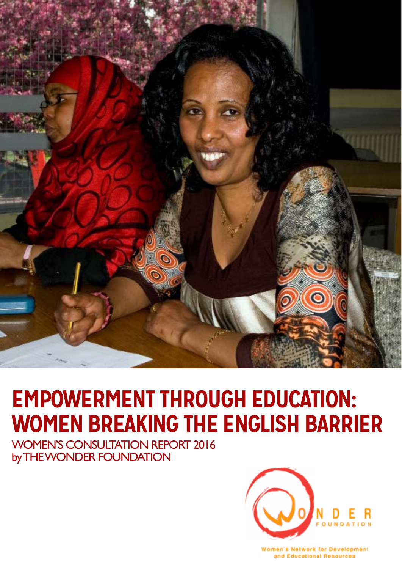

# **EMPOWERMENT THROUGH EDUCATION: WOMEN BREAKING THE ENGLISH BARRIER**

WOMEN'S CONSULTATION REPORT 2016 by THE WONDER FOUNDATION



Women's Network for Development and Educational Resources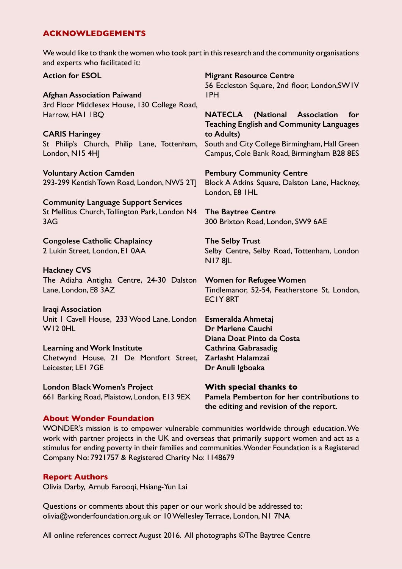# **ACKNOWLEDGEMENTS**

We would like to thank the women who took part in this research and the community organisations and experts who facilitated it:

**Action for ESOL Afghan Association Paiwand** 3rd Floor Middlesex House, 130 College Road, Harrow, HA1 1BQ **CARIS Haringey** St Philip's Church, Philip Lane, Tottenham, London, N15 4HJ **Voluntary Action Camden** 293-299 Kentish Town Road, London, NW5 2TJ **Community Language Support Services** St Mellitus Church, Tollington Park, London N4 3AG **Congolese Catholic Chaplaincy** 2 Lukin Street, London, E1 0AA **Hackney CVS** The Adiaha Antigha Centre, 24-30 Dalston Lane, London, E8 3AZ **Iraqi Association** Unit 1 Cavell House, 233 Wood Lane, London W12 0HL **Learning and Work Institute** Chetwynd House, 21 De Montfort Street, **Zarlasht Halamzai** Leicester, LE1 7GE **London Black Women's Project** 661 Barking Road, Plaistow, London, E13 9EX **Migrant Resource Centre** 56 Eccleston Square, 2nd floor, London,SW1V 1PH **NATECLA (National Association for Teaching English and Community Languages to Adults)** South and City College Birmingham, Hall Green Campus, Cole Bank Road, Birmingham B28 8ES **Pembury Community Centre** Block A Atkins Square, Dalston Lane, Hackney, London, E8 1HL **The Baytree Centre** 300 Brixton Road, London, SW9 6AE **The Selby Trust** Selby Centre, Selby Road, Tottenham, London N17 8JL **Women for Refugee Women** Tindlemanor, 52-54, Featherstone St, London, EC1Y 8RT **Esmeralda Ahmetaj Dr Marlene Cauchi Diana Doat Pinto da Costa Cathrina Gabrasadig Dr Anuli Igboaka With special thanks to Pamela Pemberton for her contributions to the editing and revision of the report.**

## **About Wonder Foundation**

WONDER's mission is to empower vulnerable communities worldwide through education. We work with partner projects in the UK and overseas that primarily support women and act as a stimulus for ending poverty in their families and communities. Wonder Foundation is a Registered Company No: 7921757 & Registered Charity No: 1148679

# **Report Authors**

Olivia Darby, Arnub Farooqi, Hsiang-Yun Lai

Questions or comments about this paper or our work should be addressed to: olivia@wonderfoundation.org.uk or 10 Wellesley Terrace, London, N1 7NA

All online references correct August 2016. All photographs ©The Baytree Centre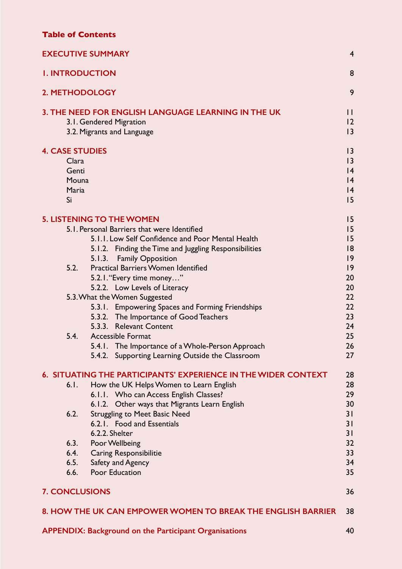# **Table of Contents**

| <b>EXECUTIVE SUMMARY</b>                                                                                                                                                                                                                                                                                               | $\overline{4}$                         |
|------------------------------------------------------------------------------------------------------------------------------------------------------------------------------------------------------------------------------------------------------------------------------------------------------------------------|----------------------------------------|
| <b>I. INTRODUCTION</b>                                                                                                                                                                                                                                                                                                 | 8                                      |
| 2. METHODOLOGY                                                                                                                                                                                                                                                                                                         | 9                                      |
| 3. THE NEED FOR ENGLISH LANGUAGE LEARNING IN THE UK<br>3.1. Gendered Migration<br>3.2. Migrants and Language                                                                                                                                                                                                           | $\mathbf{I}$<br>12<br> 3               |
| <b>4. CASE STUDIES</b><br>Clara<br>Genti<br>Mouna<br>Maria<br>Si                                                                                                                                                                                                                                                       | 3<br> 3<br> 4<br> 4<br> 4<br>15        |
| <b>5. LISTENING TO THE WOMEN</b><br>5.1. Personal Barriers that were Identified<br>5.1.1. Low Self Confidence and Poor Mental Health<br>5.1.2. Finding the Time and Juggling Responsibilities<br><b>Family Opposition</b><br>5.1.3.<br>5.2.<br><b>Practical Barriers Women Identified</b><br>5.2.1. "Every time money" | 15<br>15<br>15<br>18<br> 9<br> 9<br>20 |
| 5.2.2. Low Levels of Literacy<br>5.3. What the Women Suggested<br>5.3.1. Empowering Spaces and Forming Friendships<br>5.3.2. The Importance of Good Teachers<br>5.3.3. Relevant Content                                                                                                                                | 20<br>22<br>22<br>23<br>24             |
| 5.4.<br><b>Accessible Format</b><br>5.4.1. The Importance of a Whole-Person Approach<br>5.4.2. Supporting Learning Outside the Classroom                                                                                                                                                                               | 25<br>26<br>27                         |
| 6. SITUATING THE PARTICIPANTS' EXPERIENCE IN THE WIDER CONTEXT                                                                                                                                                                                                                                                         | 28                                     |
| 6.1.<br>How the UK Helps Women to Learn English<br>6.1.1. Who can Access English Classes?<br>6.1.2. Other ways that Migrants Learn English<br><b>Struggling to Meet Basic Need</b><br>6.2.<br>6.2.1. Food and Essentials                                                                                               | 28<br>29<br>30<br>31<br>31             |
| 6.2.2. Shelter<br>6.3.<br>Poor Wellbeing<br>6.4.<br><b>Caring Responsibilitie</b><br>6.5.<br>Safety and Agency<br>Poor Education<br>6.6.                                                                                                                                                                               | 31<br>32<br>33<br>34<br>35             |
| <b>7. CONCLUSIONS</b>                                                                                                                                                                                                                                                                                                  | 36                                     |
| 8. HOW THE UK CAN EMPOWER WOMEN TO BREAK THE ENGLISH BARRIER                                                                                                                                                                                                                                                           | 38                                     |
|                                                                                                                                                                                                                                                                                                                        |                                        |

**[APPENDIX: Background on the Participant Organisations](#page-39-0)** 40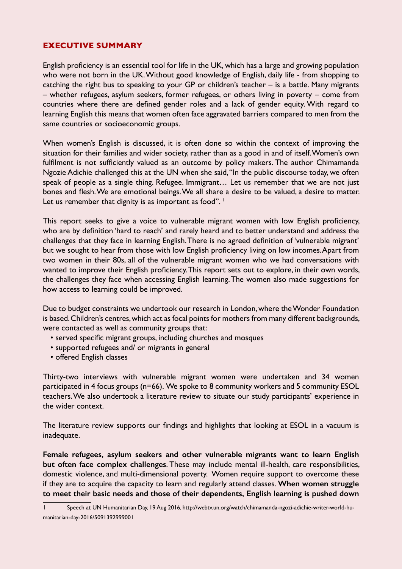# <span id="page-3-0"></span>**EXECUTIVE SUMMARY**

English proficiency is an essential tool for life in the UK, which has a large and growing population who were not born in the UK. Without good knowledge of English, daily life - from shopping to catching the right bus to speaking to your GP or children's teacher – is a battle. Many migrants – whether refugees, asylum seekers, former refugees, or others living in poverty – come from countries where there are defined gender roles and a lack of gender equity. With regard to learning English this means that women often face aggravated barriers compared to men from the same countries or socioeconomic groups.

When women's English is discussed, it is often done so within the context of improving the situation for their families and wider society, rather than as a good in and of itself. Women's own fulfilment is not sufficiently valued as an outcome by policy makers. The author Chimamanda Ngozie Adichie challenged this at the UN when she said, "In the public discourse today, we often speak of people as a single thing. Refugee. Immigrant… Let us remember that we are not just bones and flesh. We are emotional beings. We all share a desire to be valued, a desire to matter. Let us remember that dignity is as important as food".  $\pm$ 

This report seeks to give a voice to vulnerable migrant women with low English proficiency, who are by definition 'hard to reach' and rarely heard and to better understand and address the challenges that they face in learning English. There is no agreed definition of 'vulnerable migrant' but we sought to hear from those with low English proficiency living on low incomes. Apart from two women in their 80s, all of the vulnerable migrant women who we had conversations with wanted to improve their English proficiency. This report sets out to explore, in their own words, the challenges they face when accessing English learning. The women also made suggestions for how access to learning could be improved.

Due to budget constraints we undertook our research in London, where the Wonder Foundation is based. Children's centres, which act as focal points for mothers from many different backgrounds, were contacted as well as community groups that:

- served specific migrant groups, including churches and mosques
- supported refugees and/ or migrants in general
- offered English classes

Thirty-two interviews with vulnerable migrant women were undertaken and 34 women participated in 4 focus groups (n=66). We spoke to 8 community workers and 5 community ESOL teachers. We also undertook a literature review to situate our study participants' experience in the wider context.

The literature review supports our findings and highlights that looking at ESOL in a vacuum is inadequate.

**Female refugees, asylum seekers and other vulnerable migrants want to learn English but often face complex challenges**. These may include mental ill-health, care responsibilities, domestic violence, and multi-dimensional poverty. Women require support to overcome these if they are to acquire the capacity to learn and regularly attend classes. **When women struggle to meet their basic needs and those of their dependents, English learning is pushed down** 

<sup>1</sup> Speech at UN Humanitarian Day, 19 Aug 2016, http://webtv.un.org/watch/chimamanda-ngozi-adichie-writer-world-humanitarian-day-2016/5091392999001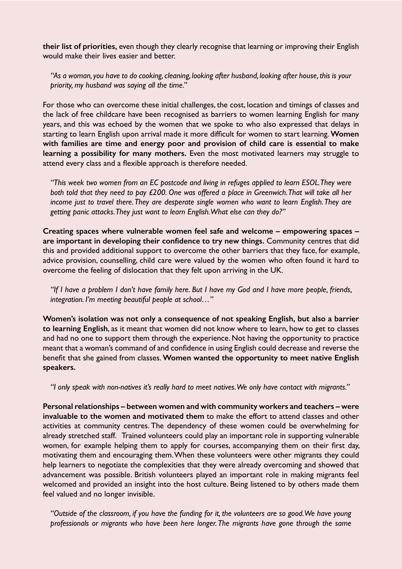**their list of priorities,** even though they clearly recognise that learning or improving their English would make their lives easier and better.

*"As a woman, you have to do cooking, cleaning, looking after husband, looking after house, this is your priority, my husband was saying all the time."*

For those who can overcome these initial challenges, the cost, location and timings of classes and the lack of free childcare have been recognised as barriers to women learning English for many years, and this was echoed by the women that we spoke to who also expressed that delays in starting to learn English upon arrival made it more difficult for women to start learning. **Women with families are time and energy poor and provision of child care is essential to make learning a possibility for many mothers.** Even the most motivated learners may struggle to attend every class and a flexible approach is therefore needed.

*"This week two women from an EC postcode and living in refuges applied to learn ESOL. They were both told that they need to pay £200. One was offered a place in Greenwich. That will take all her income just to travel there. They are desperate single women who want to learn English. They are getting panic attacks. They just want to learn English. What else can they do?"* 

**Creating spaces where vulnerable women feel safe and welcome – empowering spaces – are important in developing their confidence to try new things.** Community centres that did this and provided additional support to overcome the other barriers that they face, for example, advice provision, counselling, child care were valued by the women who often found it hard to overcome the feeling of dislocation that they felt upon arriving in the UK.

*"If I have a problem I don't have family here. But I have my God and I have more people, friends, integration. I'm meeting beautiful people at school…"*

**Women's isolation was not only a consequence of not speaking English, but also a barrier to learning English**, as it meant that women did not know where to learn, how to get to classes and had no one to support them through the experience. Not having the opportunity to practice meant that a woman's command of and confidence in using English could decrease and reverse the benefit that she gained from classes. **Women wanted the opportunity to meet native English speakers.**

*"I only speak with non-natives it's really hard to meet natives. We only have contact with migrants."*

**Personal relationships – between women and with community workers and teachers – were invaluable to the women and motivated them** to make the effort to attend classes and other activities at community centres. The dependency of these women could be overwhelming for already stretched staff. Trained volunteers could play an important role in supporting vulnerable women, for example helping them to apply for courses, accompanying them on their first day, motivating them and encouraging them. When these volunteers were other migrants they could help learners to negotiate the complexities that they were already overcoming and showed that advancement was possible. British volunteers played an important role in making migrants feel welcomed and provided an insight into the host culture. Being listened to by others made them feel valued and no longer invisible.

*"Outside of the classroom, if you have the funding for it, the volunteers are so good. We have young professionals or migrants who have been here longer. The migrants have gone through the same*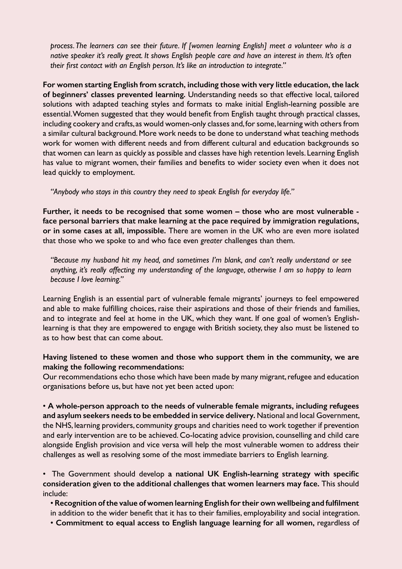*process. The learners can see their future. If [women learning English] meet a volunteer who is a native speaker it's really great. It shows English people care and have an interest in them. It's often their first contact with an English person. It's like an introduction to integrate."*

**For women starting English from scratch, including those with very little education, the lack of beginners' classes prevented learning.** Understanding needs so that effective local, tailored solutions with adapted teaching styles and formats to make initial English-learning possible are essential. Women suggested that they would benefit from English taught through practical classes, including cookery and crafts, as would women-only classes and, for some, learning with others from a similar cultural background. More work needs to be done to understand what teaching methods work for women with different needs and from different cultural and education backgrounds so that women can learn as quickly as possible and classes have high retention levels. Learning English has value to migrant women, their families and benefits to wider society even when it does not lead quickly to employment.

*"Anybody who stays in this country they need to speak English for everyday life."*

**Further, it needs to be recognised that some women – those who are most vulnerable face personal barriers that make learning at the pace required by immigration regulations, or in some cases at all, impossible.** There are women in the UK who are even more isolated that those who we spoke to and who face even *greater* challenges than them.

*"Because my husband hit my head, and sometimes I'm blank, and can't really understand or see anything, it's really affecting my understanding of the language, otherwise I am so happy to learn because I love learning."*

Learning English is an essential part of vulnerable female migrants' journeys to feel empowered and able to make fulfilling choices, raise their aspirations and those of their friends and families, and to integrate and feel at home in the UK, which they want. If one goal of women's Englishlearning is that they are empowered to engage with British society, they also must be listened to as to how best that can come about.

# **Having listened to these women and those who support them in the community, we are making the following recommendations:**

Our recommendations echo those which have been made by many migrant, refugee and education organisations before us, but have not yet been acted upon:

• **A whole-person approach to the needs of vulnerable female migrants, including refugees and asylum seekers needs to be embedded in service delivery.** National and local Government, the NHS, learning providers, community groups and charities need to work together if prevention and early intervention are to be achieved. Co-locating advice provision, counselling and child care alongside English provision and vice versa will help the most vulnerable women to address their challenges as well as resolving some of the most immediate barriers to English learning.

• The Government should develop **a national UK English-learning strategy with specific consideration given to the additional challenges that women learners may face.** This should include:

• **Recognition of the value of women learning English for their own wellbeing and fulfilment** in addition to the wider benefit that it has to their families, employability and social integration.

• **Commitment to equal access to English language learning for all women,** regardless of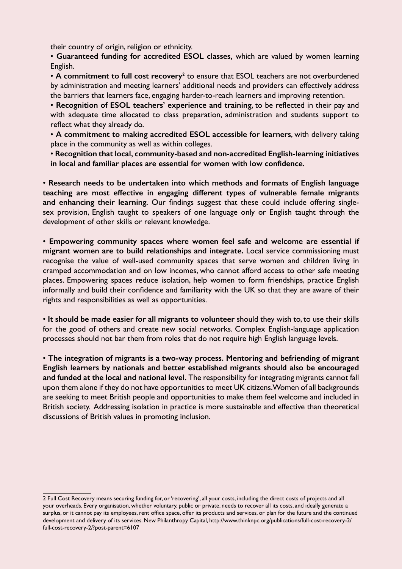their country of origin, religion or ethnicity.

• **Guaranteed funding for accredited ESOL classes,** which are valued by women learning English.

• A commitment to full cost recovery<sup>2</sup> to ensure that ESOL teachers are not overburdened by administration and meeting learners' additional needs and providers can effectively address the barriers that learners face, engaging harder-to-reach learners and improving retention.

• **Recognition of ESOL teachers' experience and training**, to be reflected in their pay and with adequate time allocated to class preparation, administration and students support to reflect what they already do.

• **A commitment to making accredited ESOL accessible for learners**, with delivery taking place in the community as well as within colleges.

• **Recognition that local, community-based and non-accredited English-learning initiatives in local and familiar places are essential for women with low confidence.**

• **Research needs to be undertaken into which methods and formats of English language teaching are most effective in engaging different types of vulnerable female migrants and enhancing their learning.** Our findings suggest that these could include offering singlesex provision, English taught to speakers of one language only or English taught through the development of other skills or relevant knowledge.

• **Empowering community spaces where women feel safe and welcome are essential if migrant women are to build relationships and integrate.** Local service commissioning must recognise the value of well-used community spaces that serve women and children living in cramped accommodation and on low incomes, who cannot afford access to other safe meeting places. Empowering spaces reduce isolation, help women to form friendships, practice English informally and build their confidence and familiarity with the UK so that they are aware of their rights and responsibilities as well as opportunities.

• **It should be made easier for all migrants to volunteer** should they wish to, to use their skills for the good of others and create new social networks. Complex English-language application processes should not bar them from roles that do not require high English language levels.

• **The integration of migrants is a two-way process. Mentoring and befriending of migrant English learners by nationals and better established migrants should also be encouraged and funded at the local and national level.** The responsibility for integrating migrants cannot fall upon them alone if they do not have opportunities to meet UK citizens. Women of all backgrounds are seeking to meet British people and opportunities to make them feel welcome and included in British society. Addressing isolation in practice is more sustainable and effective than theoretical discussions of British values in promoting inclusion.

<sup>2</sup> Full Cost Recovery means securing funding for, or 'recovering', all your costs, including the direct costs of projects and all your overheads. Every organisation, whether voluntary, public or private, needs to recover all its costs, and ideally generate a surplus, or it cannot pay its employees, rent office space, offer its products and services, or plan for the future and the continued development and delivery of its services. New Philanthropy Capital, http://www.thinknpc.org/publications/full-cost-recovery-2/ full-cost-recovery-2/?post-parent=6107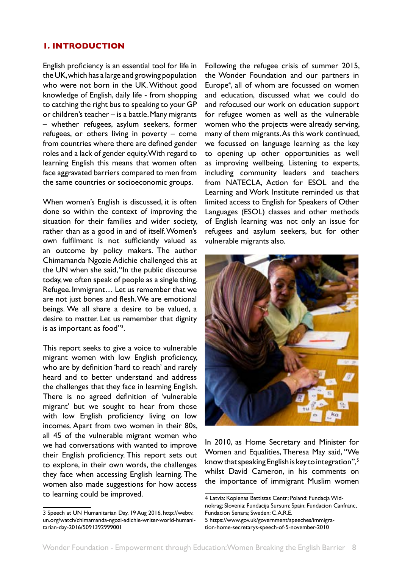## <span id="page-7-0"></span>**1. INTRODUCTION**

English proficiency is an essential tool for life in the UK, which has a large and growing population who were not born in the UK. Without good knowledge of English, daily life - from shopping to catching the right bus to speaking to your GP or children's teacher – is a battle. Many migrants – whether refugees, asylum seekers, former refugees, or others living in poverty – come from countries where there are defined gender roles and a lack of gender equity. With regard to learning English this means that women often face aggravated barriers compared to men from the same countries or socioeconomic groups.

When women's English is discussed, it is often done so within the context of improving the situation for their families and wider society, rather than as a good in and of itself. Women's own fulfilment is not sufficiently valued as an outcome by policy makers. The author Chimamanda Ngozie Adichie challenged this at the UN when she said, "In the public discourse today, we often speak of people as a single thing. Refugee. Immigrant… Let us remember that we are not just bones and flesh. We are emotional beings. We all share a desire to be valued, a desire to matter. Let us remember that dignity is as important as food"3.

This report seeks to give a voice to vulnerable migrant women with low English proficiency, who are by definition 'hard to reach' and rarely heard and to better understand and address the challenges that they face in learning English. There is no agreed definition of 'vulnerable migrant' but we sought to hear from those with low English proficiency living on low incomes. Apart from two women in their 80s, all 45 of the vulnerable migrant women who we had conversations with wanted to improve their English proficiency. This report sets out to explore, in their own words, the challenges they face when accessing English learning. The women also made suggestions for how access to learning could be improved.

Following the refugee crisis of summer 2015, the Wonder Foundation and our partners in Europe<sup>4</sup>, all of whom are focussed on women and education, discussed what we could do and refocused our work on education support for refugee women as well as the vulnerable women who the projects were already serving, many of them migrants. As this work continued, we focussed on language learning as the key to opening up other opportunities as well as improving wellbeing. Listening to experts, including community leaders and teachers from NATECLA, Action for ESOL and the Learning and Work Institute reminded us that limited access to English for Speakers of Other Languages (ESOL) classes and other methods of English learning was not only an issue for refugees and asylum seekers, but for other vulnerable migrants also.



In 2010, as Home Secretary and Minister for Women and Equalities, Theresa May said, "We know that speaking English is key to integration",5 whilst David Cameron, in his comments on the importance of immigrant Muslim women

<sup>3</sup> Speech at UN Humanitarian Day, 19 Aug 2016, http://webtv. un.org/watch/chimamanda-ngozi-adichie-writer-world-humanitarian-day-2016/5091392999001

<sup>4</sup> Latvia: Kopienas Battistas Centr; Poland: Fundacja Widnokrag; Slovenia: Fundacija Sursum; Spain: Fundacion Canfranc, Fundacion Senara; Sweden: C.A.R.E.

<sup>5</sup> https://www.gov.uk/government/speeches/immigration-home-secretarys-speech-of-5-november-2010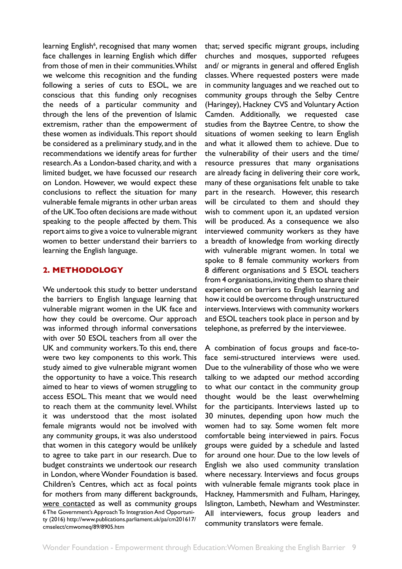<span id="page-8-0"></span>learning English<sup>6</sup>, recognised that many women face challenges in learning English which differ from those of men in their communities. Whilst we welcome this recognition and the funding following a series of cuts to ESOL, we are conscious that this funding only recognises the needs of a particular community and through the lens of the prevention of Islamic extremism, rather than the empowerment of these women as individuals. This report should be considered as a preliminary study, and in the recommendations we identify areas for further research. As a London-based charity, and with a limited budget, we have focussed our research on London. However, we would expect these conclusions to reflect the situation for many vulnerable female migrants in other urban areas of the UK. Too often decisions are made without speaking to the people affected by them. This report aims to give a voice to vulnerable migrant women to better understand their barriers to learning the English language.

## **2. METHODOLOGY**

We undertook this study to better understand the barriers to English language learning that vulnerable migrant women in the UK face and how they could be overcome. Our approach was informed through informal conversations with over 50 ESOL teachers from all over the UK and community workers. To this end, there were two key components to this work. This study aimed to give vulnerable migrant women the opportunity to have a voice. This research aimed to hear to views of women struggling to access ESOL. This meant that we would need to reach them at the community level. Whilst it was understood that the most isolated female migrants would not be involved with any community groups, it was also understood that women in this category would be unlikely to agree to take part in our research. Due to budget constraints we undertook our research in London, where Wonder Foundation is based. Children's Centres, which act as focal points for mothers from many different backgrounds, were contacted as well as community groups 6 The Government's Approach To Integration And Opportunity (2016) http://www.publications.parliament.uk/pa/cm201617/ cmselect/cmwomeq/89/8905.htm

that; served specific migrant groups, including churches and mosques, supported refugees and/ or migrants in general and offered English classes. Where requested posters were made in community languages and we reached out to community groups through the Selby Centre (Haringey), Hackney CVS and Voluntary Action Camden. Additionally, we requested case studies from the Baytree Centre, to show the situations of women seeking to learn English and what it allowed them to achieve. Due to the vulnerability of their users and the time/ resource pressures that many organisations are already facing in delivering their core work, many of these organisations felt unable to take part in the research. However, this research will be circulated to them and should they wish to comment upon it, an updated version will be produced. As a consequence we also interviewed community workers as they have a breadth of knowledge from working directly with vulnerable migrant women. In total we spoke to 8 female community workers from 8 different organisations and 5 ESOL teachers from 4 organisations, inviting them to share their experience on barriers to English learning and how it could be overcome through unstructured interviews. Interviews with community workers and ESOL teachers took place in person and by telephone, as preferred by the interviewee.

A combination of focus groups and face-toface semi-structured interviews were used. Due to the vulnerability of those who we were talking to we adapted our method according to what our contact in the community group thought would be the least overwhelming for the participants. Interviews lasted up to 30 minutes, depending upon how much the women had to say. Some women felt more comfortable being interviewed in pairs. Focus groups were guided by a schedule and lasted for around one hour. Due to the low levels of English we also used community translation where necessary. Interviews and focus groups with vulnerable female migrants took place in Hackney, Hammersmith and Fulham, Haringey, Islington, Lambeth, Newham and Westminster. All interviewers, focus group leaders and community translators were female.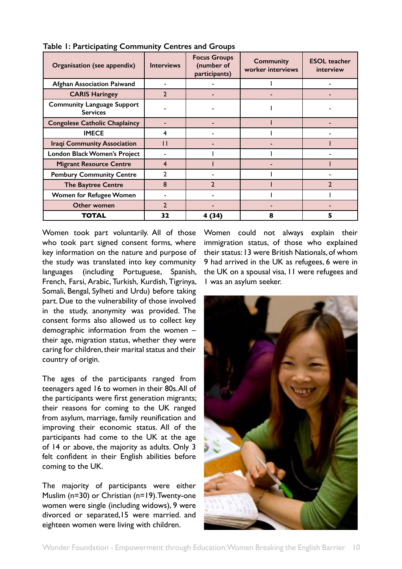| Organisation (see appendix)                          | <b>Interviews</b> | <b>Focus Groups</b><br>(number of<br>participants) | <b>Community</b><br>worker interviews | <b>ESOL</b> teacher<br>interview |
|------------------------------------------------------|-------------------|----------------------------------------------------|---------------------------------------|----------------------------------|
| <b>Afghan Association Paiwand</b>                    |                   |                                                    |                                       |                                  |
| <b>CARIS Haringey</b>                                | $\overline{2}$    |                                                    |                                       |                                  |
| <b>Community Language Support</b><br><b>Services</b> |                   |                                                    |                                       |                                  |
| <b>Congolese Catholic Chaplaincy</b>                 |                   |                                                    |                                       |                                  |
| <b>IMECE</b>                                         | 4                 |                                                    |                                       |                                  |
| <b>Iraqi Community Association</b>                   |                   |                                                    |                                       |                                  |
| London Black Women's Project                         |                   |                                                    |                                       |                                  |
| <b>Migrant Resource Centre</b>                       | $\overline{4}$    |                                                    |                                       |                                  |
| <b>Pembury Community Centre</b>                      | $\mathbf{c}$      |                                                    |                                       |                                  |
| <b>The Baytree Centre</b>                            | 8                 | $\mathcal{D}$                                      |                                       |                                  |
| Women for Refugee Women                              |                   |                                                    |                                       |                                  |
| Other women                                          | $\overline{2}$    |                                                    |                                       |                                  |
| <b>TOTAL</b>                                         | 32                | 4 (34)                                             | 8                                     |                                  |

**Table 1: Participating Community Centres and Groups**

Women took part voluntarily. All of those who took part signed consent forms, where key information on the nature and purpose of the study was translated into key community languages (including Portuguese, Spanish, French, Farsi, Arabic, Turkish, Kurdish, Tigrinya, Somali, Bengal, Sylheti and Urdu) before taking part. Due to the vulnerability of those involved in the study, anonymity was provided. The consent forms also allowed us to collect key demographic information from the women – their age, migration status, whether they were caring for children, their marital status and their country of origin.

The ages of the participants ranged from teenagers aged 16 to women in their 80s. All of the participants were first generation migrants; their reasons for coming to the UK ranged from asylum, marriage, family reunification and improving their economic status. All of the participants had come to the UK at the age of 14 or above, the majority as adults. Only 3 felt confident in their English abilities before coming to the UK.

The majority of participants were either Muslim (n=30) or Christian (n=19). Twenty-one women were single (including widows), 9 were divorced or separated,15 were married. and eighteen women were living with children.

Women could not always explain their immigration status, of those who explained their status: 13 were British Nationals, of whom 9 had arrived in the UK as refugees, 6 were in the UK on a spousal visa, 11 were refugees and 1 was an asylum seeker.

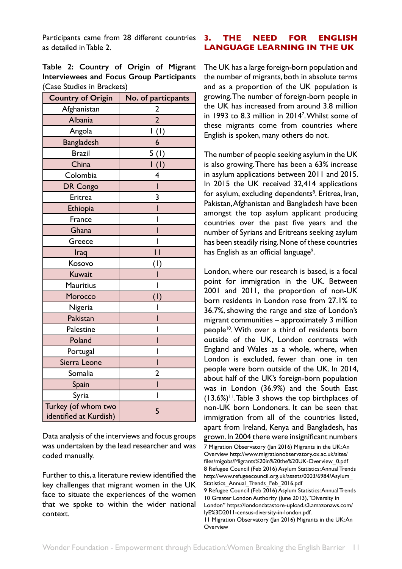<span id="page-10-0"></span>Participants came from 28 different countries as detailed in Table 2.

|  | Table 2: Country of Origin of Migrant            |  |  |
|--|--------------------------------------------------|--|--|
|  | <b>Interviewees and Focus Group Participants</b> |  |  |
|  | (Case Studies in Brackets)                       |  |  |

| <b>Country of Origin</b>                      | No. of particpants |
|-----------------------------------------------|--------------------|
| Afghanistan                                   | $\overline{2}$     |
| <b>Albania</b>                                | $\overline{2}$     |
| Angola                                        | I(I)               |
| <b>Bangladesh</b>                             | 6                  |
| <b>Brazil</b>                                 | 5(1)               |
| China                                         | $\overline{1}$ (I) |
| Colombia                                      | 4                  |
| DR Congo                                      | ı                  |
| Eritrea                                       | 3                  |
| Ethiopia                                      | ı                  |
| France                                        | ı                  |
| Ghana                                         |                    |
| Greece                                        | ı                  |
| Iraq                                          | П                  |
| Kosovo                                        | (1)                |
| Kuwait                                        |                    |
| <b>Mauritius</b>                              | ı                  |
| Morocco                                       | (1)                |
| Nigeria                                       |                    |
| Pakistan                                      |                    |
| Palestine                                     | ı                  |
| Poland                                        |                    |
| Portugal                                      | ı                  |
| Sierra Leone                                  |                    |
| Somalia                                       | 2                  |
| Spain                                         | Ī                  |
| Syria                                         | Ī                  |
| Turkey (of whom two<br>identified at Kurdish) | 5                  |

Data analysis of the interviews and focus groups was undertaken by the lead researcher and was coded manually.

Further to this, a literature review identified the key challenges that migrant women in the UK face to situate the experiences of the women that we spoke to within the wider national context.

# **3. THE NEED FOR ENGLISH LANGUAGE LEARNING IN THE UK**

The UK has a large foreign-born population and the number of migrants, both in absolute terms and as a proportion of the UK population is growing. The number of foreign-born people in the UK has increased from around 3.8 million in 1993 to 8.3 million in 20147 . Whilst some of these migrants come from countries where English is spoken, many others do not.

The number of people seeking asylum in the UK is also growing. There has been a 63% increase in asylum applications between 2011 and 2015. In 2015 the UK received 32,414 applications for asylum, excluding dependents<sup>8</sup>. Eritrea, Iran, Pakistan, Afghanistan and Bangladesh have been amongst the top asylum applicant producing countries over the past five years and the number of Syrians and Eritreans seeking asylum has been steadily rising. None of these countries has English as an official language<sup>9</sup>.

London, where our research is based, is a focal point for immigration in the UK. Between 2001 and 2011, the proportion of non-UK born residents in London rose from 27.1% to 36.7%, showing the range and size of London's migrant communities – approximately 3 million people<sup>10</sup>. With over a third of residents born outside of the UK, London contrasts with England and Wales as a whole, where, when London is excluded, fewer than one in ten people were born outside of the UK. In 2014, about half of the UK's foreign-born population was in London (36.9%) and the South East  $(13.6%)$ <sup>11</sup>. Table 3 shows the top birthplaces of non-UK born Londoners. It can be seen that immigration from all of the countries listed, apart from Ireland, Kenya and Bangladesh, has grown. In 2004 there were insignificant numbers

<sup>7</sup> Migration Observatory (Jan 2016) Migrants in the UK: An Overview http://www.migrationobservatory.ox.ac.uk/sites/ files/migobs/Migrants%20in%20the%20UK-Overview\_0.pdf 8 Refugee Council (Feb 2016) Asylum Statistics: Annual Trends http://www.refugeecouncil.org.uk/assets/0003/6984/Asylum\_ Statistics Annual Trends Feb 2016.pdf 9 Refugee Council (Feb 2016) Asylum Statistics: Annual Trends 10 Greater London Authority (June 2013), "Diversity in London" https://londondatastore-upload.s3.amazonaws.com/ IyE%3D2011-census-diversity-in-london.pdf. 11 Migration Observatory (Jan 2016) Migrants in the UK: An **Overview**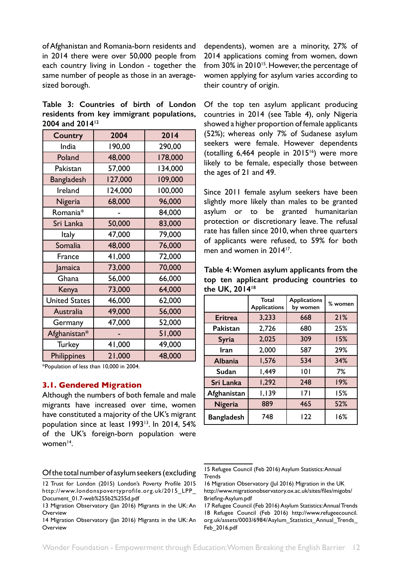<span id="page-11-0"></span>of Afghanistan and Romania-born residents and in 2014 there were over 50,000 people from each country living in London - together the same number of people as those in an averagesized borough.

**Table 3: Countries of birth of London residents from key immigrant populations, 2004 and 201412**

| Country              | 2004    | 2014    |
|----------------------|---------|---------|
| India                | 190,00  | 290,00  |
| Poland               | 48,000  | 178,000 |
| Pakistan             | 57,000  | 134,000 |
| <b>Bangladesh</b>    | 127,000 | 109,000 |
| Ireland              | 124,000 | 100,000 |
| Nigeria              | 68,000  | 96,000  |
| Romania*             |         | 84,000  |
| Sri Lanka            | 50,000  | 83,000  |
| <b>Italy</b>         | 47,000  | 79,000  |
| Somalia              | 48,000  | 76,000  |
| France               | 41,000  | 72,000  |
| Jamaica              | 73,000  | 70,000  |
| Ghana                | 56,000  | 66,000  |
| Kenya                | 73,000  | 64,000  |
| <b>United States</b> | 46,000  | 62,000  |
| Australia            | 49,000  | 56,000  |
| Germany              | 47,000  | 52,000  |
| Afghanistan*         |         | 51,000  |
| <b>Turkey</b>        | 41,000  | 49,000  |
| Philippines          | 21,000  | 48,000  |

\*Population of less than 10,000 in 2004.

#### **3.1. Gendered Migration**

Although the numbers of both female and male migrants have increased over time, women have constituted a majority of the UK's migrant population since at least 199313. In 2014, 54% of the UK's foreign-born population were women $14$ .

Of the total number of asylum seekers (excluding

dependents), women are a minority, 27% of 2014 applications coming from women, down from 30% in 2010<sup>15</sup>. However, the percentage of women applying for asylum varies according to their country of origin.

Of the top ten asylum applicant producing countries in 2014 (see Table 4), only Nigeria showed a higher proportion of female applicants (52%); whereas only 7% of Sudanese asylum seekers were female. However dependents (totalling  $6,464$  people in  $2015^{16}$ ) were more likely to be female, especially those between the ages of 21 and 49.

Since 2011 female asylum seekers have been slightly more likely than males to be granted asylum or to be granted humanitarian protection or discretionary leave. The refusal rate has fallen since 2010, when three quarters of applicants were refused, to 59% for both men and women in 2014<sup>17</sup>.

**Table 4: Women asylum applicants from the top ten applicant producing countries to the UK, 201418**

|                   | <b>Total</b><br><b>Applications</b> | <b>Applications</b><br>by women | % women |
|-------------------|-------------------------------------|---------------------------------|---------|
| <b>Eritrea</b>    | 3,233                               | 668                             | 21%     |
| Pakistan          | 2,726                               | 680                             | 25%     |
| Syria             | 2,025                               | 309                             | 15%     |
| Iran              | 2,000                               | 587                             | 29%     |
| <b>Albania</b>    | 1,576                               | 534                             | 34%     |
| Sudan             | 1,449                               | 101                             | 7%      |
| Sri Lanka         | 1,292                               | 248                             | 19%     |
| Afghanistan       | 1,139                               | 7                               | 15%     |
| Nigeria           | 889                                 | 465                             | 52%     |
| <b>Bangladesh</b> | 748                                 | 122                             | 16%     |

<sup>12</sup> Trust for London (2015) London's Poverty Profile 2015 http://www.londonspovertyprofile.org.uk/2015\_LPP\_ Document\_01.7-web%255b2%255d.pdf

<sup>13</sup> Migration Observatory (Jan 2016) Migrants in the UK: An **Overview** 

<sup>14</sup> Migration Observatory (Jan 2016) Migrants in the UK: An **Overview** 

<sup>15</sup> Refugee Council (Feb 2016) Asylum Statistics: Annual **Trends** 

<sup>16</sup> Migration Observatory (Jul 2016) Migration in the UK http://www.migrationobservatory.ox.ac.uk/sites/files/migobs/ Briefing-Asylum.pdf

<sup>17</sup> Refugee Council (Feb 2016) Asylum Statistics: Annual Trends 18 Refugee Council (Feb 2016) http://www.refugeecouncil. org.uk/assets/0003/6984/Asylum\_Statistics\_Annual\_Trends\_ Feb\_2016.pdf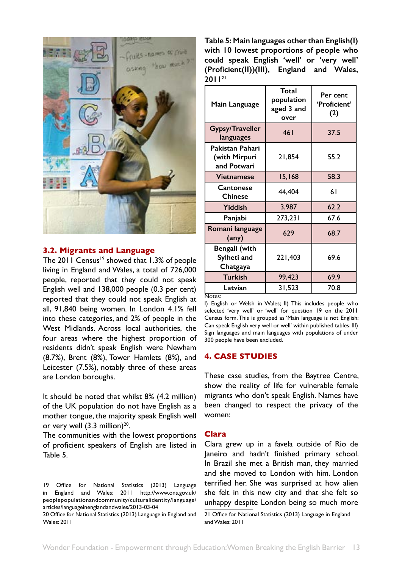<span id="page-12-0"></span>

#### **3.2. Migrants and Language**

The 2011 Census<sup>19</sup> showed that 1.3% of people living in England and Wales, a total of 726,000 people, reported that they could not speak English well and 138,000 people (0.3 per cent) reported that they could not speak English at all, 91,840 being women. In London 4.1% fell into these categories, and 2% of people in the West Midlands. Across local authorities, the four areas where the highest proportion of residents didn't speak English were Newham (8.7%), Brent (8%), Tower Hamlets (8%), and Leicester (7.5%), notably three of these areas are London boroughs.

It should be noted that whilst 8% (4.2 million) of the UK population do not have English as a mother tongue, the majority speak English well or very well  $(3.3 \text{ million})^{20}$ .

The communities with the lowest proportions of proficient speakers of English are listed in Table 5.

**Table 5: Main languages other than English(I) with 10 lowest proportions of people who could speak English 'well' or 'very well' (Proficient(II))(III), England and Wales, 201121**

| Main Language                                   | Total<br>population<br>aged 3 and<br>over | Per cent<br>'Proficient'<br>(2) |
|-------------------------------------------------|-------------------------------------------|---------------------------------|
| Gypsy/Traveller<br>languages                    | 46 <sub>1</sub>                           | 37.5                            |
| Pakistan Pahari<br>(with Mirpuri<br>and Potwari | 21,854                                    | 55.2                            |
| Vietnamese                                      | 15,168                                    | 58.3                            |
| Cantonese<br><b>Chinese</b>                     | 44,404                                    | 61                              |
| Yiddish                                         | 3,987                                     | 62.2                            |
| Panjabi                                         | 273,231                                   | 67.6                            |
| Romani language<br>(any)                        | 629                                       | 68.7                            |
| Bengali (with<br>Sylheti and<br>Chatgaya        | 221,403                                   | 69.6                            |
| <b>Turkish</b>                                  | 99,423                                    | 69.9                            |
| Latvian                                         | 31,523                                    | 70.8                            |

Notes:

I) English or Welsh in Wales; II) This includes people who selected 'very well' or 'well' for question 19 on the 2011 Census form. This is grouped as 'Main language is not English: Can speak English very well or well' within published tables; III) Sign languages and main languages with populations of under 300 people have been excluded.

# **4. CASE STUDIES**

These case studies, from the Baytree Centre, show the reality of life for vulnerable female migrants who don't speak English. Names have been changed to respect the privacy of the women:

#### **Clara**

Clara grew up in a favela outside of Rio de Janeiro and hadn't finished primary school. In Brazil she met a British man, they married and she moved to London with him. London terrified her. She was surprised at how alien she felt in this new city and that she felt so unhappy despite London being so much more

<sup>19</sup> Office for National Statistics (2013) Language in England and Wales: 2011 http://www.ons.gov.uk/ peoplepopulationandcommunity/culturalidentity/language/ articles/languageinenglandandwales/2013-03-04

<sup>20</sup> Office for National Statistics (2013) Language in England and Wales: 2011

<sup>21</sup> Office for National Statistics (2013) Language in England and Wales: 2011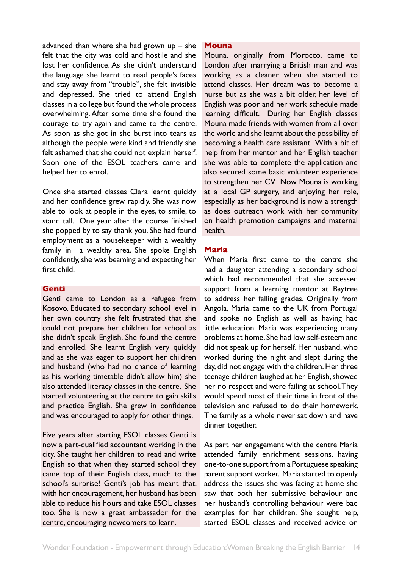<span id="page-13-0"></span>advanced than where she had grown up – she felt that the city was cold and hostile and she lost her confidence. As she didn't understand the language she learnt to read people's faces and stay away from "trouble", she felt invisible and depressed. She tried to attend English classes in a college but found the whole process overwhelming. After some time she found the courage to try again and came to the centre. As soon as she got in she burst into tears as although the people were kind and friendly she felt ashamed that she could not explain herself. Soon one of the ESOL teachers came and helped her to enrol.

Once she started classes Clara learnt quickly and her confidence grew rapidly. She was now able to look at people in the eyes, to smile, to stand tall. One year after the course finished she popped by to say thank you. She had found employment as a housekeeper with a wealthy family in a wealthy area. She spoke English confidently, she was beaming and expecting her first child.

#### **Genti**

Genti came to London as a refugee from Kosovo. Educated to secondary school level in her own country she felt frustrated that she could not prepare her children for school as she didn't speak English. She found the centre and enrolled. She learnt English very quickly and as she was eager to support her children and husband (who had no chance of learning as his working timetable didn't allow him) she also attended literacy classes in the centre. She started volunteering at the centre to gain skills and practice English. She grew in confidence and was encouraged to apply for other things.

Five years after starting ESOL classes Genti is now a part-qualified accountant working in the city. She taught her children to read and write English so that when they started school they came top of their English class, much to the school's surprise! Genti's job has meant that, with her encouragement, her husband has been able to reduce his hours and take ESOL classes too. She is now a great ambassador for the centre, encouraging newcomers to learn.

#### **Mouna**

Mouna, originally from Morocco, came to London after marrying a British man and was working as a cleaner when she started to attend classes. Her dream was to become a nurse but as she was a bit older, her level of English was poor and her work schedule made learning difficult. During her English classes Mouna made friends with women from all over the world and she learnt about the possibility of becoming a health care assistant. With a bit of help from her mentor and her English teacher she was able to complete the application and also secured some basic volunteer experience to strengthen her CV. Now Mouna is working at a local GP surgery, and enjoying her role, especially as her background is now a strength as does outreach work with her community on health promotion campaigns and maternal health.

#### **Maria**

When Maria first came to the centre she had a daughter attending a secondary school which had recommended that she accessed support from a learning mentor at Baytree to address her falling grades. Originally from Angola, Maria came to the UK from Portugal and spoke no English as well as having had little education. Maria was experiencing many problems at home. She had low self-esteem and did not speak up for herself. Her husband, who worked during the night and slept during the day, did not engage with the children. Her three teenage children laughed at her English, showed her no respect and were failing at school. They would spend most of their time in front of the television and refused to do their homework. The family as a whole never sat down and have dinner together.

As part her engagement with the centre Maria attended family enrichment sessions, having one-to-one support from a Portuguese speaking parent support worker. Maria started to openly address the issues she was facing at home she saw that both her submissive behaviour and her husband's controlling behaviour were bad examples for her children. She sought help, started ESOL classes and received advice on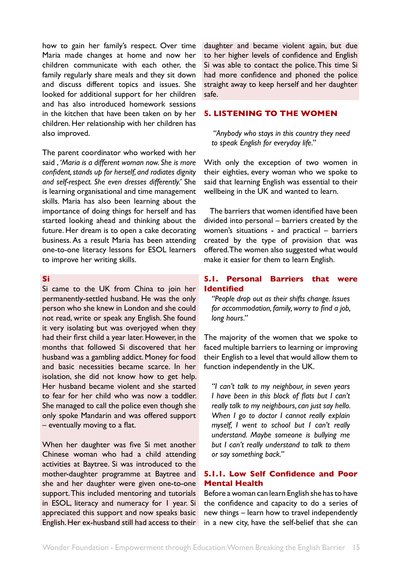<span id="page-14-0"></span>how to gain her family's respect. Over time Maria made changes at home and now her children communicate with each other, the family regularly share meals and they sit down and discuss different topics and issues. She looked for additional support for her children and has also introduced homework sessions in the kitchen that have been taken on by her children. Her relationship with her children has also improved.

The parent coordinator who worked with her said , *'Maria is a different woman now. She is more confident, stands up for herself, and radiates dignity and self-respect. She even dresses differently.'* She is learning organisational and time management skills. Maria has also been learning about the importance of doing things for herself and has started looking ahead and thinking about the future. Her dream is to open a cake decorating business. As a result Maria has been attending one-to-one literacy lessons for ESOL learners to improve her writing skills.

#### **Si**

Si came to the UK from China to join her permanently-settled husband. He was the only person who she knew in London and she could not read, write or speak any English. She found it very isolating but was overjoyed when they had their first child a year later. However, in the months that followed Si discovered that her husband was a gambling addict. Money for food and basic necessities became scarce. In her isolation, she did not know how to get help. Her husband became violent and she started to fear for her child who was now a toddler. She managed to call the police even though she only spoke Mandarin and was offered support – eventually moving to a flat.

When her daughter was five Si met another Chinese woman who had a child attending activities at Baytree. Si was introduced to the mother-daughter programme at Baytree and she and her daughter were given one-to-one support. This included mentoring and tutorials in ESOL, literacy and numeracy for 1 year. Si appreciated this support and now speaks basic English. Her ex-husband still had access to their daughter and became violent again, but due to her higher levels of confidence and English Si was able to contact the police. This time Si had more confidence and phoned the police straight away to keep herself and her daughter safe.

#### **5. LISTENING TO THE WOMEN**

 *"Anybody who stays in this country they need to speak English for everyday life."*

With only the exception of two women in their eighties, every woman who we spoke to said that learning English was essential to their wellbeing in the UK and wanted to learn.

The barriers that women identified have been divided into personal – barriers created by the women's situations - and practical – barriers created by the type of provision that was offered. The women also suggested what would make it easier for them to learn English.

## **5.1. Personal Barriers that were Identified**

*"People drop out as their shifts change. Issues for accommodation, family, worry to find a job, long hours."* 

The majority of the women that we spoke to faced multiple barriers to learning or improving their English to a level that would allow them to function independently in the UK.

*"I can't talk to my neighbour, in seven years I have been in this block of flats but I can't really talk to my neighbours, can just say hello. When I go to doctor I cannot really explain myself, I went to school but I can't really understand. Maybe someone is bullying me but I can't really understand to talk to them or say something back."* 

## **5.1.1. Low Self Confidence and Poor Mental Health**

Before a woman can learn English she has to have the confidence and capacity to do a series of new things – learn how to travel independently in a new city, have the self-belief that she can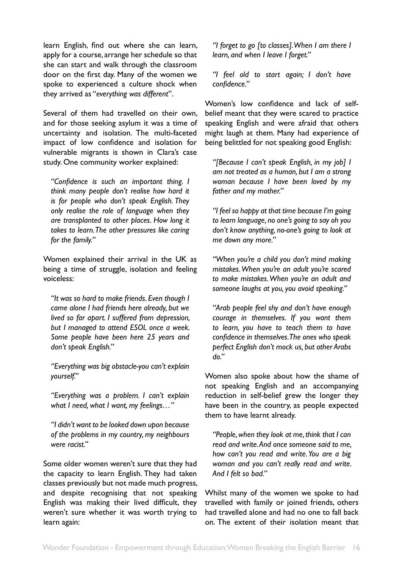learn English, find out where she can learn, apply for a course, arrange her schedule so that she can start and walk through the classroom door on the first day. Many of the women we spoke to experienced a culture shock when they arrived as "*everything was different*".

Several of them had travelled on their own, and for those seeking asylum it was a time of uncertainty and isolation. The multi-faceted impact of low confidence and isolation for vulnerable migrants is shown in Clara's case study. One community worker explained:

*"Confidence is such an important thing. I think many people don't realise how hard it is for people who don't speak English. They only realise the role of language when they are transplanted to other places. How long it takes to learn. The other pressures like caring for the family."*

Women explained their arrival in the UK as being a time of struggle, isolation and feeling voiceless:

*"It was so hard to make friends. Even though I came alone I had friends here already, but we lived so far apart. I suffered from depression, but I managed to attend ESOL once a week. Some people have been here 25 years and don't speak English."*

*"Everything was big obstacle-you can't explain yourself."* 

*"Everything was a problem. I can't explain what I need, what I want, my feelings…"*

*"I didn't want to be looked down upon because of the problems in my country, my neighbours were racist."*

Some older women weren't sure that they had the capacity to learn English. They had taken classes previously but not made much progress, and despite recognising that not speaking English was making their lived difficult, they weren't sure whether it was worth trying to learn again:

*"I forget to go [to classes]. When I am there I learn, and when I leave I forget."*

*"I feel old to start again; I don't have confidence."*

Women's low confidence and lack of selfbelief meant that they were scared to practice speaking English and were afraid that others might laugh at them. Many had experience of being belittled for not speaking good English:

*"[Because I can't speak English, in my job] I am not treated as a human, but I am a strong woman because I have been loved by my father and my mother."* 

*"I feel so happy at that time because I'm going to learn language, no one's going to say oh you don't know anything, no-one's going to look at me down any more."* 

*"When you're a child you don't mind making mistakes. When you're an adult you're scared to make mistakes. When you're an adult and someone laughs at you, you avoid speaking."*

*"Arab people feel shy and don't have enough courage in themselves. If you want them to learn, you have to teach them to have confidence in themselves. The ones who speak perfect English don't mock us, but other Arabs do."*

Women also spoke about how the shame of not speaking English and an accompanying reduction in self-belief grew the longer they have been in the country, as people expected them to have learnt already.

*"People, when they look at me, think that I can read and write. And once someone said to me, how can't you read and write. You are a big woman and you can't really read and write. And I felt so bad."*

Whilst many of the women we spoke to had travelled with family or joined friends, others had travelled alone and had no one to fall back on. The extent of their isolation meant that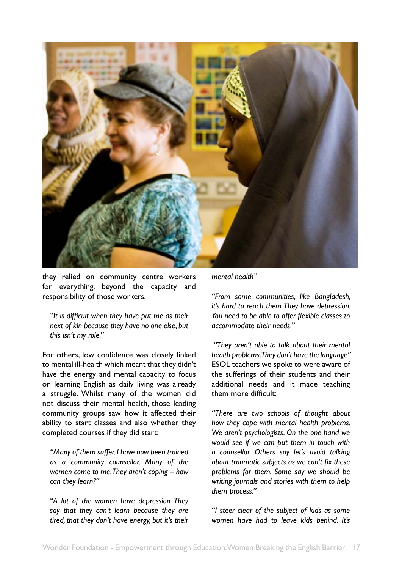

they relied on community centre workers for everything, beyond the capacity and responsibility of those workers.

*"It is difficult when they have put me as their next of kin because they have no one else, but this isn't my role."*

For others, low confidence was closely linked to mental ill-health which meant that they didn't have the energy and mental capacity to focus on learning English as daily living was already a struggle. Whilst many of the women did not discuss their mental health, those leading community groups saw how it affected their ability to start classes and also whether they completed courses if they did start:

*"Many of them suffer. I have now been trained as a community counsellor. Many of the women come to me. They aren't coping – how can they learn?"* 

*"A lot of the women have depression. They say that they can't learn because they are tired, that they don't have energy, but it's their* 

*mental health"*

*"From some communities, like Bangladesh, it's hard to reach them. They have depression. You need to be able to offer flexible classes to accommodate their needs."*

 *"They aren't able to talk about their mental health problems. They don't have the language"* ESOL teachers we spoke to were aware of the sufferings of their students and their additional needs and it made teaching them more difficult:

*"There are two schools of thought about how they cope with mental health problems. We aren't psychologists. On the one hand we would see if we can put them in touch with a counsellor. Others say let's avoid talking about traumatic subjects as we can't fix these problems for them. Some say we should be writing journals and stories with them to help them process."*

*"I steer clear of the subject of kids as some women have had to leave kids behind. It's*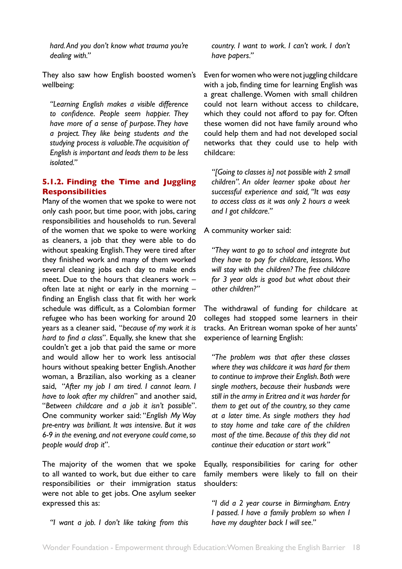<span id="page-17-0"></span>*hard. And you don't know what trauma you're dealing with."*

They also saw how English boosted women's wellbeing:

*"Learning English makes a visible difference to confidence. People seem happier. They have more of a sense of purpose. They have a project. They like being students and the studying process is valuable. The acquisition of English is important and leads them to be less isolated."* 

# **5.1.2. Finding the Time and Juggling Responsibilities**

Many of the women that we spoke to were not only cash poor, but time poor, with jobs, caring responsibilities and households to run. Several of the women that we spoke to were working as cleaners, a job that they were able to do without speaking English. They were tired after they finished work and many of them worked several cleaning jobs each day to make ends meet. Due to the hours that cleaners work – often late at night or early in the morning – finding an English class that fit with her work schedule was difficult, as a Colombian former refugee who has been working for around 20 years as a cleaner said, "*because of my work it is hard to find a class*". Equally, she knew that she couldn't get a job that paid the same or more and would allow her to work less antisocial hours without speaking better English. Another woman, a Brazilian, also working as a cleaner said, "*After my job I am tired. I cannot learn. I have to look after my children*" and another said, "*Between childcare and a job it isn't possible*". One community worker said: "*English My Way pre-entry was brilliant. It was intensive. But it was 6-9 in the evening, and not everyone could come, so people would drop it*".

The majority of the women that we spoke to all wanted to work, but due either to care responsibilities or their immigration status were not able to get jobs. One asylum seeker expressed this as:

*"I want a job. I don't like taking from this* 

*country. I want to work. I can't work. I don't have papers."*

Even for women who were not juggling childcare with a job, finding time for learning English was a great challenge. Women with small children could not learn without access to childcare, which they could not afford to pay for. Often these women did not have family around who could help them and had not developed social networks that they could use to help with childcare:

*"[Going to classes is] not possible with 2 small children". An older learner spoke about her successful experience and said, "It was easy to access class as it was only 2 hours a week and I got childcare."*

A community worker said:

*"They want to go to school and integrate but they have to pay for childcare, lessons. Who will stay with the children? The free childcare for 3 year olds is good but what about their other children?"*

The withdrawal of funding for childcare at colleges had stopped some learners in their tracks. An Eritrean woman spoke of her aunts' experience of learning English:

*"The problem was that after these classes where they was childcare it was hard for them to continue to improve their English. Both were single mothers, because their husbands were still in the army in Eritrea and it was harder for them to get out of the country, so they came at a later time. As single mothers they had to stay home and take care of the children most of the time. Because of this they did not continue their education or start work"* 

Equally, responsibilities for caring for other family members were likely to fall on their shoulders:

*"I did a 2 year course in Birmingham. Entry I passed. I have a family problem so when I have my daughter back I will see."*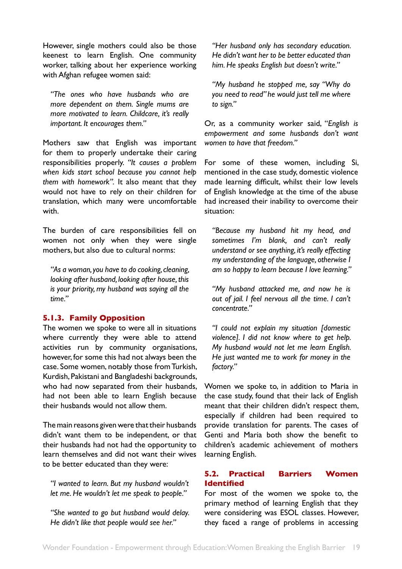<span id="page-18-0"></span>However, single mothers could also be those keenest to learn English. One community worker, talking about her experience working with Afghan refugee women said:

*"The ones who have husbands who are more dependent on them. Single mums are more motivated to learn. Childcare, it's really important. It encourages them."*

Mothers saw that English was important for them to properly undertake their caring responsibilities properly. *"It causes a problem when kids start school because you cannot help them with homework".* It also meant that they would not have to rely on their children for translation, which many were uncomfortable with.

The burden of care responsibilities fell on women not only when they were single mothers, but also due to cultural norms:

*"As a woman, you have to do cooking, cleaning, looking after husband, looking after house, this is your priority, my husband was saying all the time."*

# **5.1.3. Family Opposition**

The women we spoke to were all in situations where currently they were able to attend activities run by community organisations, however, for some this had not always been the case. Some women, notably those from Turkish, Kurdish, Pakistani and Bangladeshi backgrounds, who had now separated from their husbands, had not been able to learn English because their husbands would not allow them.

The main reasons given were that their husbands didn't want them to be independent, or that their husbands had not had the opportunity to learn themselves and did not want their wives to be better educated than they were:

*"I wanted to learn. But my husband wouldn't let me. He wouldn't let me speak to people."*

*"She wanted to go but husband would delay. He didn't like that people would see her."*

*"Her husband only has secondary education. He didn't want her to be better educated than him. He speaks English but doesn't write."*

*"My husband he stopped me, say "Why do you need to read" he would just tell me where to sign."*

Or, as a community worker said, "*English is empowerment and some husbands don't want women to have that freedom."* 

For some of these women, including Si, mentioned in the case study, domestic violence made learning difficult, whilst their low levels of English knowledge at the time of the abuse had increased their inability to overcome their situation:

*"Because my husband hit my head, and sometimes I'm blank, and can't really understand or see anything, it's really effecting my understanding of the language, otherwise I am so happy to learn because I love learning."*

*"My husband attacked me, and now he is out of jail. I feel nervous all the time. I can't concentrate."*

*"I could not explain my situation [domestic violence]. I did not know where to get help. My husband would not let me learn English. He just wanted me to work for money in the factory."*

Women we spoke to, in addition to Maria in the case study, found that their lack of English meant that their children didn't respect them, especially if children had been required to provide translation for parents. The cases of Genti and Maria both show the benefit to children's academic achievement of mothers learning English.

# **5.2. Practical Barriers Women Identified**

For most of the women we spoke to, the primary method of learning English that they were considering was ESOL classes. However, they faced a range of problems in accessing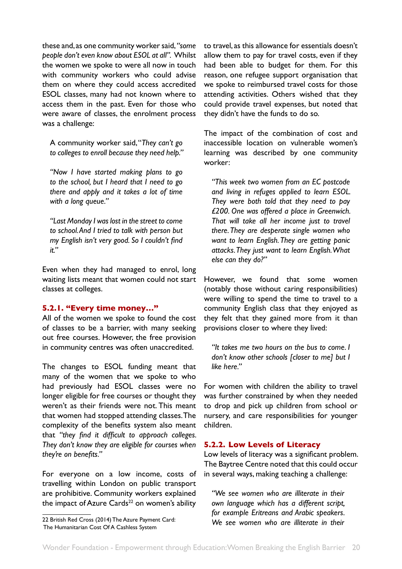<span id="page-19-0"></span>these and, as one community worker said, *"some people don't even know about ESOL at all".* Whilst the women we spoke to were all now in touch with community workers who could advise them on where they could access accredited ESOL classes, many had not known where to access them in the past. Even for those who were aware of classes, the enrolment process was a challenge:

A community worker said, "*They can't go to colleges to enroll because they need help."*

*"Now I have started making plans to go to the school, but I heard that I need to go there and apply and it takes a lot of time with a long queue."*

*"Last Monday I was lost in the street to come to school. And I tried to talk with person but my English isn't very good. So I couldn't find it."* 

Even when they had managed to enrol, long waiting lists meant that women could not start classes at colleges.

## **5.2.1. "Every time money…"**

All of the women we spoke to found the cost of classes to be a barrier, with many seeking out free courses. However, the free provision in community centres was often unaccredited.

The changes to ESOL funding meant that many of the women that we spoke to who had previously had ESOL classes were no longer eligible for free courses or thought they weren't as their friends were not. This meant that women had stopped attending classes. The complexity of the benefits system also meant that *"they find it difficult to approach colleges. They don't know they are eligible for courses when they're on benefits."* 

For everyone on a low income, costs of travelling within London on public transport are prohibitive. Community workers explained the impact of Azure Cards $22$  on women's ability

to travel, as this allowance for essentials doesn't allow them to pay for travel costs, even if they had been able to budget for them. For this reason, one refugee support organisation that we spoke to reimbursed travel costs for those attending activities. Others wished that they could provide travel expenses, but noted that they didn't have the funds to do so.

The impact of the combination of cost and inaccessible location on vulnerable women's learning was described by one community worker:

*"This week two women from an EC postcode and living in refuges applied to learn ESOL. They were both told that they need to pay £200. One was offered a place in Greenwich. That will take all her income just to travel there. They are desperate single women who want to learn English. They are getting panic attacks. They just want to learn English. What else can they do?"* 

However, we found that some women (notably those without caring responsibilities) were willing to spend the time to travel to a community English class that they enjoyed as they felt that they gained more from it than provisions closer to where they lived:

*"It takes me two hours on the bus to come. I don't know other schools [closer to me] but I like here."* 

For women with children the ability to travel was further constrained by when they needed to drop and pick up children from school or nursery, and care responsibilities for younger children.

## **5.2.2. Low Levels of Literacy**

Low levels of literacy was a significant problem. The Baytree Centre noted that this could occur in several ways, making teaching a challenge:

*"We see women who are illiterate in their own language which has a different script, for example Eritreans and Arabic speakers. We see women who are illiterate in their* 

<sup>22</sup> British Red Cross (2014) The Azure Payment Card: The Humanitarian Cost Of A Cashless System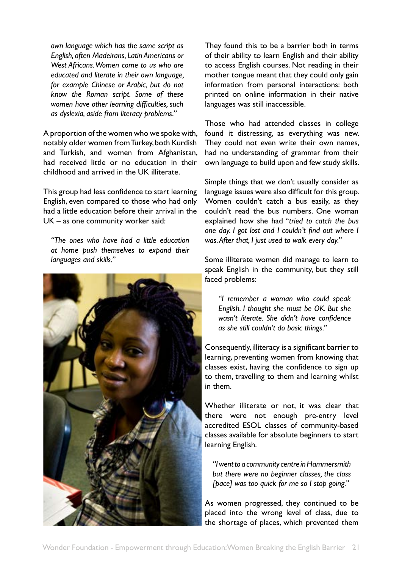*own language which has the same script as English, often Madeirans, Latin Americans or West Africans. Women come to us who are educated and literate in their own language, for example Chinese or Arabic, but do not know the Roman script. Some of these women have other learning difficulties, such as dyslexia, aside from literacy problems."*

A proportion of the women who we spoke with, notably older women from Turkey, both Kurdish and Turkish, and women from Afghanistan, had received little or no education in their childhood and arrived in the UK illiterate.

This group had less confidence to start learning English, even compared to those who had only had a little education before their arrival in the UK – as one community worker said:

*"The ones who have had a little education at home push themselves to expand their languages and skills."*



They found this to be a barrier both in terms of their ability to learn English and their ability to access English courses. Not reading in their mother tongue meant that they could only gain information from personal interactions: both printed on online information in their native languages was still inaccessible.

Those who had attended classes in college found it distressing, as everything was new. They could not even write their own names, had no understanding of grammar from their own language to build upon and few study skills.

Simple things that we don't usually consider as language issues were also difficult for this group. Women couldn't catch a bus easily, as they couldn't read the bus numbers. One woman explained how she had "*tried to catch the bus one day. I got lost and I couldn't find out where I was. After that, I just used to walk every day."*

Some illiterate women did manage to learn to speak English in the community, but they still faced problems:

*"I remember a woman who could speak English. I thought she must be OK. But she wasn't literate. She didn't have confidence as she still couldn't do basic things."* 

Consequently, illiteracy is a significant barrier to learning, preventing women from knowing that classes exist, having the confidence to sign up to them, travelling to them and learning whilst in them.

Whether illiterate or not, it was clear that there were not enough pre-entry level accredited ESOL classes of community-based classes available for absolute beginners to start learning English.

*"I went to a community centre in Hammersmith but there were no beginner classes, the class [pace] was too quick for me so I stop going."*

As women progressed, they continued to be placed into the wrong level of class, due to the shortage of places, which prevented them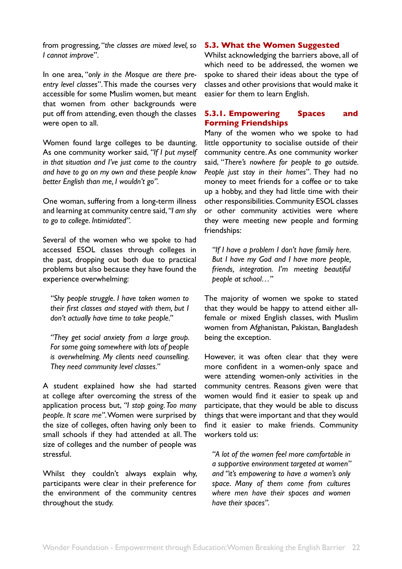<span id="page-21-0"></span>from progressing, "*the classes are mixed level, so I cannot improve*".

In one area, "*only in the Mosque are there preentry level classes*". This made the courses very accessible for some Muslim women, but meant that women from other backgrounds were put off from attending, even though the classes were open to all.

Women found large colleges to be daunting. As one community worker said, *"If I put myself in that situation and I've just come to the country and have to go on my own and these people know better English than me, I wouldn't go".* 

One woman, suffering from a long-term illness and learning at community centre said, *"I am shy to go to college. Intimidated".*

Several of the women who we spoke to had accessed ESOL classes through colleges in the past, dropping out both due to practical problems but also because they have found the experience overwhelming:

*"Shy people struggle. I have taken women to their first classes and stayed with them, but I don't actually have time to take people."* 

*"They get social anxiety from a large group. For some going somewhere with lots of people is overwhelming. My clients need counselling. They need community level classes."* 

A student explained how she had started at college after overcoming the stress of the application process but, *"I stop going. Too many people. It scare me"*. Women were surprised by the size of colleges, often having only been to small schools if they had attended at all. The size of colleges and the number of people was stressful.

Whilst they couldn't always explain why, participants were clear in their preference for the environment of the community centres throughout the study.

#### **5.3. What the Women Suggested**

Whilst acknowledging the barriers above, all of which need to be addressed, the women we spoke to shared their ideas about the type of classes and other provisions that would make it easier for them to learn English.

## **5.3.1. Empowering Spaces and Forming Friendships**

Many of the women who we spoke to had little opportunity to socialise outside of their community centre. As one community worker said, "*There's nowhere for people to go outside. People just stay in their homes*". They had no money to meet friends for a coffee or to take up a hobby, and they had little time with their other responsibilities. Community ESOL classes or other community activities were where they were meeting new people and forming friendships:

*"If I have a problem I don't have family here. But I have my God and I have more people, friends, integration. I'm meeting beautiful people at school…"*

The majority of women we spoke to stated that they would be happy to attend either allfemale or mixed English classes, with Muslim women from Afghanistan, Pakistan, Bangladesh being the exception.

However, it was often clear that they were more confident in a women-only space and were attending women-only activities in the community centres. Reasons given were that women would find it easier to speak up and participate, that they would be able to discuss things that were important and that they would find it easier to make friends. Community workers told us:

*"A lot of the women feel more comfortable in a supportive environment targeted at women" and "it's empowering to have a women's only space. Many of them come from cultures where men have their spaces and women have their spaces".*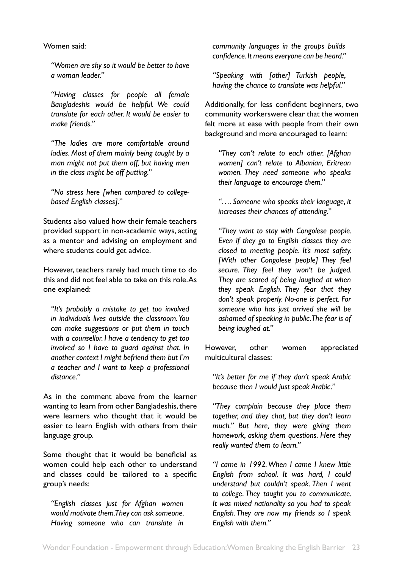<span id="page-22-0"></span>Women said:

*"Women are shy so it would be better to have a woman leader."*

*"Having classes for people all female Bangladeshis would be helpful. We could translate for each other. It would be easier to make friends."*

*"The ladies are more comfortable around ladies. Most of them mainly being taught by a man might not put them off, but having men in the class might be off putting."* 

*"No stress here [when compared to collegebased English classes]."*

Students also valued how their female teachers provided support in non-academic ways, acting as a mentor and advising on employment and where students could get advice.

However, teachers rarely had much time to do this and did not feel able to take on this role. As one explained:

*"It's probably a mistake to get too involved in individuals lives outside the classroom. You can make suggestions or put them in touch with a counsellor. I have a tendency to get too involved so I have to guard against that. In another context I might befriend them but I'm a teacher and I want to keep a professional distance."*

As in the comment above from the learner wanting to learn from other Bangladeshis, there were learners who thought that it would be easier to learn English with others from their language group.

Some thought that it would be beneficial as women could help each other to understand and classes could be tailored to a specific group's needs:

*"English classes just for Afghan women would motivate them. They can ask someone. Having someone who can translate in* 

*community languages in the groups builds confidence. It means everyone can be heard."*

*"Speaking with [other] Turkish people, having the chance to translate was helpful."*

Additionally, for less confident beginners, two community workerswere clear that the women felt more at ease with people from their own background and more encouraged to learn:

*"They can't relate to each other. [Afghan women] can't relate to Albanian, Eritrean women. They need someone who speaks their language to encourage them."* 

*"…. Someone who speaks their language, it increases their chances of attending."* 

*"They want to stay with Congolese people. Even if they go to English classes they are closed to meeting people. It's most safety. [With other Congolese people] They feel secure. They feel they won't be judged. They are scared of being laughed at when they speak English. They fear that they don't speak properly. No-one is perfect. For someone who has just arrived she will be ashamed of speaking in public. The fear is of being laughed at."*

However, other women appreciated multicultural classes:

*"It's better for me if they don't speak Arabic because then I would just speak Arabic."*

*"They complain because they place them together, and they chat, but they don't learn much." But here, they were giving them homework, asking them questions. Here they really wanted them to learn."*

*"I came in 1992. When I came I knew little English from school. It was hard, I could understand but couldn't speak. Then I went to college. They taught you to communicate. It was mixed nationality so you had to speak English. They are now my friends so I speak English with them."*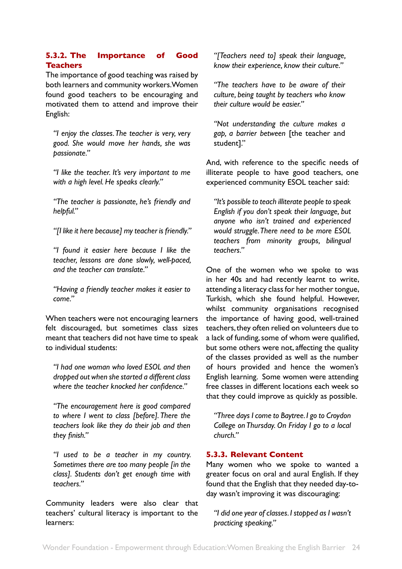# <span id="page-23-0"></span>**5.3.2. The Importance of Good Teachers**

The importance of good teaching was raised by both learners and community workers. Women found good teachers to be encouraging and motivated them to attend and improve their English:

*"I enjoy the classes. The teacher is very, very good. She would move her hands, she was passionate."* 

*"I like the teacher. It's very important to me with a high level. He speaks clearly."*

*"The teacher is passionate, he's friendly and helpful."*

*"[I like it here because] my teacher is friendly."*

*"I found it easier here because I like the teacher, lessons are done slowly, well-paced, and the teacher can translate."*

*"Having a friendly teacher makes it easier to come."*

When teachers were not encouraging learners felt discouraged, but sometimes class sizes meant that teachers did not have time to speak to individual students:

*"I had one woman who loved ESOL and then dropped out when she started a different class where the teacher knocked her confidence."*

*"The encouragement here is good compared to where I went to class [before]. There the teachers look like they do their job and then they finish."*

*"I used to be a teacher in my country. Sometimes there are too many people [in the class]. Students don't get enough time with teachers."*

Community leaders were also clear that teachers' cultural literacy is important to the learners:

*"[Teachers need to] speak their language, know their experience, know their culture."*

*"The teachers have to be aware of their culture, being taught by teachers who know their culture would be easier."*

*"Not understanding the culture makes a gap, a barrier between* [the teacher and student]."

And, with reference to the specific needs of illiterate people to have good teachers, one experienced community ESOL teacher said:

*"It's possible to teach illiterate people to speak English if you don't speak their language, but anyone who isn't trained and experienced would struggle. There need to be more ESOL teachers from minority groups, bilingual teachers."* 

One of the women who we spoke to was in her 40s and had recently learnt to write, attending a literacy class for her mother tongue, Turkish, which she found helpful. However, whilst community organisations recognised the importance of having good, well-trained teachers, they often relied on volunteers due to a lack of funding, some of whom were qualified, but some others were not, affecting the quality of the classes provided as well as the number of hours provided and hence the women's English learning. Some women were attending free classes in different locations each week so that they could improve as quickly as possible.

*"Three days I come to Baytree. I go to Croydon College on Thursday. On Friday I go to a local church."*

## **5.3.3. Relevant Content**

Many women who we spoke to wanted a greater focus on oral and aural English. If they found that the English that they needed day-today wasn't improving it was discouraging:

*"I did one year of classes. I stopped as I wasn't practicing speaking."*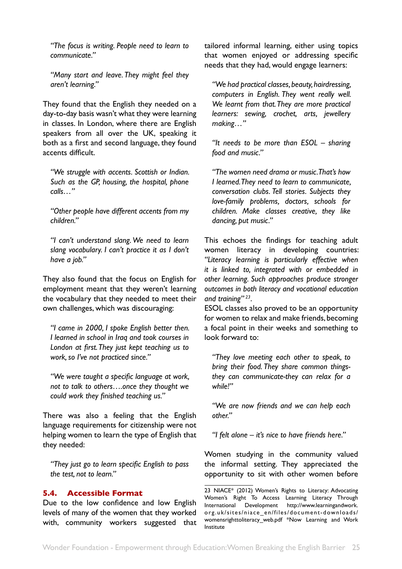<span id="page-24-0"></span>*"The focus is writing. People need to learn to communicate."* 

*"Many start and leave. They might feel they aren't learning."* 

They found that the English they needed on a day-to-day basis wasn't what they were learning in classes. In London, where there are English speakers from all over the UK, speaking it both as a first and second language, they found accents difficult.

*"We struggle with accents. Scottish or Indian. Such as the GP, housing, the hospital, phone calls…"*

*"Other people have different accents from my children."*

*"I can't understand slang. We need to learn slang vocabulary. I can't practice it as I don't have a job."*

They also found that the focus on English for employment meant that they weren't learning the vocabulary that they needed to meet their own challenges, which was discouraging:

*"I came in 2000, I spoke English better then. I learned in school in Iraq and took courses in London at first. They just kept teaching us to work, so I've not practiced since."*

*"We were taught a specific language at work, not to talk to others….once they thought we could work they finished teaching us."*

There was also a feeling that the English language requirements for citizenship were not helping women to learn the type of English that they needed:

*"They just go to learn specific English to pass the test, not to learn."*

#### **5.4. Accessible Format**

Due to the low confidence and low English levels of many of the women that they worked with, community workers suggested that tailored informal learning, either using topics that women enjoyed or addressing specific needs that they had, would engage learners:

*"We had practical classes, beauty, hairdressing, computers in English. They went really well. We learnt from that. They are more practical learners: sewing, crochet, arts, jewellery making…"* 

*"It needs to be more than ESOL – sharing food and music."*

*"The women need drama or music. That's how I learned. They need to learn to communicate, conversation clubs. Tell stories. Subjects they love-family problems, doctors, schools for children. Make classes creative, they like dancing, put music."*

This echoes the findings for teaching adult women literacy in developing countries: *"Literacy learning is particularly effective when it is linked to, integrated with or embedded in other learning. Such approaches produce stronger outcomes in both literacy and vocational education and training" 23*.

ESOL classes also proved to be an opportunity for women to relax and make friends, becoming a focal point in their weeks and something to look forward to:

*"They love meeting each other to speak, to bring their food. They share common thingsthey can communicate-they can relax for a while!"* 

*"We are now friends and we can help each other."*

*"I felt alone – it's nice to have friends here."*

Women studying in the community valued the informal setting. They appreciated the opportunity to sit with other women before

<sup>23</sup> NIACE\* (2012) Women's Rights to Literacy: Advocating Women's Right To Access Learning Literacy Through International Development http://www.learningandwork. org.uk/sites/niace\_en/files/document-downloads/ womensrighttoliteracy\_web.pdf \*Now Learning and Work Institute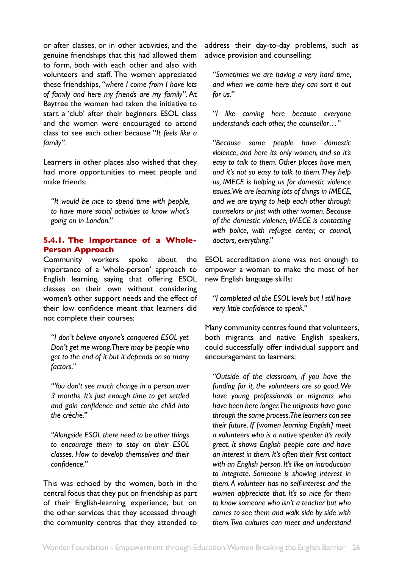<span id="page-25-0"></span>or after classes, or in other activities, and the genuine friendships that this had allowed them to form, both with each other and also with volunteers and staff. The women appreciated these friendships, *"where I come from I have lots of family and here my friends are my family"*. At Baytree the women had taken the initiative to start a 'club' after their beginners ESOL class and the women were encouraged to attend class to see each other because "*It feels like a family".* 

Learners in other places also wished that they had more opportunities to meet people and make friends:

*"It would be nice to spend time with people, to have more social activities to know what's going on in London."*

## **5.4.1. The Importance of a Whole-Person Approach**

Community workers spoke about the importance of a 'whole-person' approach to English learning, saying that offering ESOL classes on their own without considering women's other support needs and the effect of their low confidence meant that learners did not complete their courses:

*"I don't believe anyone's conquered ESOL yet. Don't get me wrong. There may be people who get to the end of it but it depends on so many factors."*

*"You don't see much change in a person over 3 months. It's just enough time to get settled and gain confidence and settle the child into the crèche."*

*"Alongside ESOL there need to be other things to encourage them to stay on their ESOL classes. How to develop themselves and their confidence."* 

This was echoed by the women, both in the central focus that they put on friendship as part of their English-learning experience, but on the other services that they accessed through the community centres that they attended to

address their day-to-day problems, such as advice provision and counselling:

*"Sometimes we are having a very hard time, and when we come here they can sort it out for us."*

*"I like coming here because everyone understands each other, the counsellor…"*

*"Because some people have domestic violence, and here its only women, and so it's easy to talk to them. Other places have men, and it's not so easy to talk to them. They help us, IMECE is helping us for domestic violence issues. We are learning lots of things in IMECE, and we are trying to help each other through counselors or just with other women. Because of the domestic violence, IMECE is contacting with police, with refugee center, or council, doctors, everything."*

ESOL accreditation alone was not enough to empower a woman to make the most of her new English language skills:

*"I completed all the ESOL levels but I still have very little confidence to speak."*

Many community centres found that volunteers, both migrants and native English speakers, could successfully offer individual support and encouragement to learners:

*"Outside of the classroom, if you have the funding for it, the volunteers are so good. We have young professionals or migrants who have been here longer. The migrants have gone through the same process. The learners can see their future. If [women learning English] meet a volunteers who is a native speaker it's really great. It shows English people care and have an interest in them. It's often their first contact with an English person. It's like an introduction to integrate. Someone is showing interest in them. A volunteer has no self-interest and the women appreciate that. It's so nice for them to know someone who isn't a teacher but who comes to see them and walk side by side with them. Two cultures can meet and understand*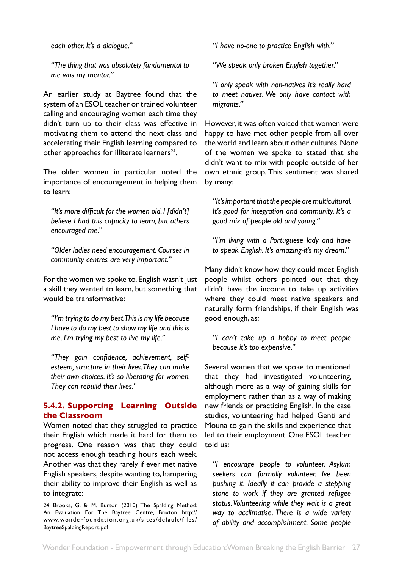<span id="page-26-0"></span>*each other. It's a dialogue."* 

*"The thing that was absolutely fundamental to me was my mentor."*

An earlier study at Baytree found that the system of an ESOL teacher or trained volunteer calling and encouraging women each time they didn't turn up to their class was effective in motivating them to attend the next class and accelerating their English learning compared to other approaches for illiterate learners<sup>24</sup>.

The older women in particular noted the importance of encouragement in helping them to learn:

*"It's more difficult for the women old. I [didn't] believe I had this capacity to learn, but others encouraged me."* 

*"Older ladies need encouragement. Courses in community centres are very important."*

For the women we spoke to, English wasn't just a skill they wanted to learn, but something that would be transformative:

*"I'm trying to do my best. This is my life because I have to do my best to show my life and this is me. I'm trying my best to live my life."*

*"They gain confidence, achievement, selfesteem, structure in their lives. They can make their own choices. It's so liberating for women. They can rebuild their lives."* 

## **5.4.2. Supporting Learning Outside the Classroom**

Women noted that they struggled to practice their English which made it hard for them to progress. One reason was that they could not access enough teaching hours each week. Another was that they rarely if ever met native English speakers, despite wanting to, hampering their ability to improve their English as well as to integrate:

*"I have no-one to practice English with."*

*"We speak only broken English together."*

*"I only speak with non-natives it's really hard to meet natives. We only have contact with migrants."*

However, it was often voiced that women were happy to have met other people from all over the world and learn about other cultures. None of the women we spoke to stated that she didn't want to mix with people outside of her own ethnic group. This sentiment was shared by many:

*"It's important that the people are multicultural. It's good for integration and community. It's a good mix of people old and young."* 

*"I'm living with a Portuguese lady and have to speak English. It's amazing-it's my dream."*

Many didn't know how they could meet English people whilst others pointed out that they didn't have the income to take up activities where they could meet native speakers and naturally form friendships, if their English was good enough, as:

*"I can't take up a hobby to meet people because it's too expensive."*

Several women that we spoke to mentioned that they had investigated volunteering, although more as a way of gaining skills for employment rather than as a way of making new friends or practicing English. In the case studies, volunteering had helped Genti and Mouna to gain the skills and experience that led to their employment. One ESOL teacher told us:

*"I encourage people to volunteer. Asylum seekers can formally volunteer. Ive been pushing it. Ideally it can provide a stepping stone to work if they are granted refugee status. Volunteering while they wait is a great way to acclimatise. There is a wide variety of ability and accomplishment. Some people* 

<sup>24</sup> Brooks, G. & M. Burton (2010) The Spalding Method: An Evaluation For The Baytree Centre, Brixton http:// www.wonderfoundation.org.uk/sites/default/files/ BaytreeSpaldingReport.pdf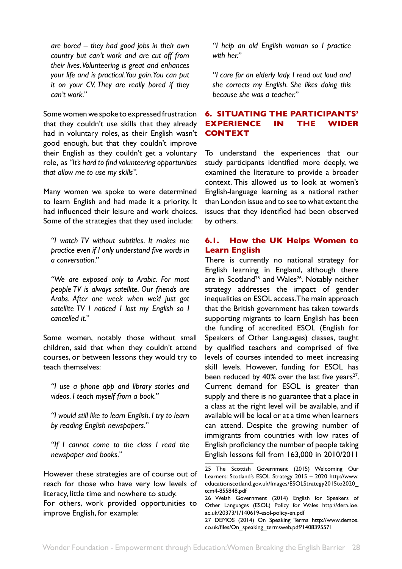<span id="page-27-0"></span>*are bored – they had good jobs in their own country but can't work and are cut off from their lives. Volunteering is great and enhances your life and is practical. You gain. You can put it on your CV. They are really bored if they can't work."* 

Some women we spoke to expressed frustration that they couldn't use skills that they already had in voluntary roles, as their English wasn't good enough, but that they couldn't improve their English as they couldn't get a voluntary role, as *"It's hard to find volunteering opportunities that allow me to use my skills".*

Many women we spoke to were determined to learn English and had made it a priority. It had influenced their leisure and work choices. Some of the strategies that they used include:

*"I watch TV without subtitles. It makes me practice even if I only understand five words in a conversation."*

*"We are exposed only to Arabic. For most people TV is always satellite. Our friends are Arabs. After one week when we'd just got satellite TV I noticed I lost my English so I cancelled it."*

Some women, notably those without small children, said that when they couldn't attend courses, or between lessons they would try to teach themselves:

*"I use a phone app and library stories and videos. I teach myself from a book."*

*"I would still like to learn English. I try to learn by reading English newspapers."*

*"If I cannot come to the class I read the newspaper and books."*

However these strategies are of course out of reach for those who have very low levels of literacy, little time and nowhere to study.

For others, work provided opportunities to improve English, for example:

*"I help an old English woman so I practice with her."*

*"I care for an elderly lady. I read out loud and she corrects my English. She likes doing this because she was a teacher."*

# **6. SITUATING THE PARTICIPANTS' EXPERIENCE IN THE WIDER CONTEXT**

To understand the experiences that our study participants identified more deeply, we examined the literature to provide a broader context. This allowed us to look at women's English-language learning as a national rather than London issue and to see to what extent the issues that they identified had been observed by others.

## **6.1. How the UK Helps Women to Learn English**

There is currently no national strategy for English learning in England, although there are in Scotland<sup>25</sup> and Wales<sup>26</sup>. Notably neither strategy addresses the impact of gender inequalities on ESOL access. The main approach that the British government has taken towards supporting migrants to learn English has been the funding of accredited ESOL (English for Speakers of Other Languages) classes, taught by qualified teachers and comprised of five levels of courses intended to meet increasing skill levels. However, funding for ESOL has been reduced by  $40\%$  over the last five years<sup>27</sup>. Current demand for ESOL is greater than supply and there is no guarantee that a place in a class at the right level will be available, and if available will be local or at a time when learners can attend. Despite the growing number of immigrants from countries with low rates of English proficiency the number of people taking English lessons fell from 163,000 in 2010/2011

<sup>25</sup> The Scottish Government (2015) Welcoming Our Learners: Scotland's ESOL Strategy 2015 – 2020 http://www. educationscotland.gov.uk/Images/ESOLStrategy2015to2020\_ tcm4-855848.pdf

<sup>26</sup> Welsh Government (2014) English for Speakers of Other Languages (ESOL) Policy for Wales http://dera.ioe. ac.uk/20373/1/140619-esol-policy-en.pdf

<sup>27</sup> DEMOS (2014) On Speaking Terms http://www.demos. co.uk/files/On\_speaking\_termsweb.pdf?1408395571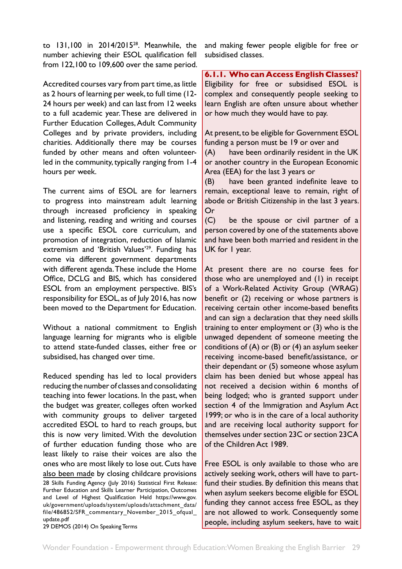<span id="page-28-0"></span>to 131,100 in 2014/201528. Meanwhile, the number achieving their ESOL qualification fell from 122,100 to 109,600 over the same period.

Accredited courses vary from part time, as little as 2 hours of learning per week, to full time (12- 24 hours per week) and can last from 12 weeks to a full academic year. These are delivered in Further Education Colleges, Adult Community Colleges and by private providers, including charities. Additionally there may be courses funded by other means and often volunteerled in the community, typically ranging from 1-4 hours per week.

The current aims of ESOL are for learners to progress into mainstream adult learning through increased proficiency in speaking and listening, reading and writing and courses use a specific ESOL core curriculum, and promotion of integration, reduction of Islamic extremism and 'British Values'<sup>29</sup>. Funding has come via different government departments with different agenda. These include the Home Office, DCLG and BIS, which has considered ESOL from an employment perspective. BIS's responsibility for ESOL, as of July 2016, has now been moved to the Department for Education.

Without a national commitment to English language learning for migrants who is eligible to attend state-funded classes, either free or subsidised, has changed over time.

Reduced spending has led to local providers reducing the number of classes and consolidating teaching into fewer locations. In the past, when the budget was greater, colleges often worked with community groups to deliver targeted accredited ESOL to hard to reach groups, but this is now very limited. With the devolution of further education funding those who are least likely to raise their voices are also the ones who are most likely to lose out. Cuts have also been made by closing childcare provisions 28 Skills Funding Agency (July 2016) Statistical First Release: Further Education and Skills Learner Participation, Outcomes and Level of Highest Qualification Held https://www.gov. uk/government/uploads/system/uploads/attachment\_data/ file/486852/SFR\_commentary\_November\_2015\_ofqual\_ update.pdf 29 DEMOS (2014) On Speaking Terms

and making fewer people eligible for free or subsidised classes.

**6.1.1. Who can Access English Classes?** Eligibility for free or subsidised ESOL is complex and consequently people seeking to learn English are often unsure about whether or how much they would have to pay.

At present, to be eligible for Government ESOL funding a person must be 19 or over and

(A) have been ordinarily resident in the UK or another country in the European Economic Area (EEA) for the last 3 years or

(B) have been granted indefinite leave to remain, exceptional leave to remain, right of abode or British Citizenship in the last 3 years. Or

(C) be the spouse or civil partner of a person covered by one of the statements above and have been both married and resident in the UK for 1 year.

At present there are no course fees for those who are unemployed and (1) in receipt of a Work-Related Activity Group (WRAG) benefit or (2) receiving or whose partners is receiving certain other income-based benefits and can sign a declaration that they need skills training to enter employment or (3) who is the unwaged dependent of someone meeting the conditions of (A) or (B) or (4) an asylum seeker receiving income-based benefit/assistance, or their dependant or (5) someone whose asylum claim has been denied but whose appeal has not received a decision within 6 months of being lodged; who is granted support under section 4 of the Immigration and Asylum Act 1999; or who is in the care of a local authority and are receiving local authority support for themselves under section 23C or section 23CA of the Children Act 1989.

Free ESOL is only available to those who are actively seeking work, others will have to partfund their studies. By definition this means that when asylum seekers become eligible for ESOL funding they cannot access free ESOL, as they are not allowed to work. Consequently some people, including asylum seekers, have to wait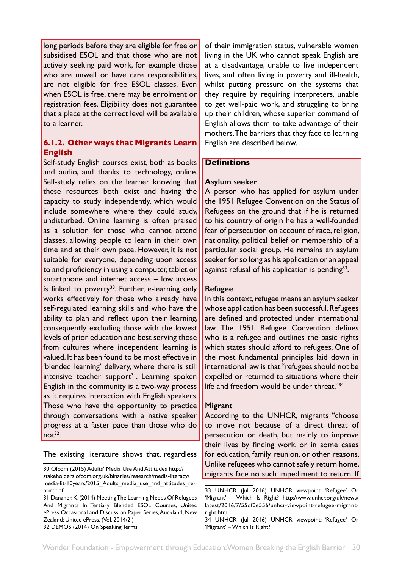<span id="page-29-0"></span>long periods before they are eligible for free or subsidised ESOL and that those who are not actively seeking paid work, for example those who are unwell or have care responsibilities, are not eligible for free ESOL classes. Even when ESOL is free, there may be enrolment or registration fees. Eligibility does not guarantee that a place at the correct level will be available to a learner.

# **6.1.2. Other ways that Migrants Learn English**

Self-study English courses exist, both as books and audio, and thanks to technology, online. Self-study relies on the learner knowing that these resources both exist and having the capacity to study independently, which would include somewhere where they could study, undisturbed. Online learning is often praised as a solution for those who cannot attend classes, allowing people to learn in their own time and at their own pace. However, it is not suitable for everyone, depending upon access to and proficiency in using a computer, tablet or smartphone and internet access – low access is linked to poverty<sup>30</sup>. Further, e-learning only works effectively for those who already have self-regulated learning skills and who have the ability to plan and reflect upon their learning, consequently excluding those with the lowest levels of prior education and best serving those from cultures where independent learning is valued. It has been found to be most effective in 'blended learning' delivery, where there is still intensive teacher support $31$ . Learning spoken English in the community is a two-way process as it requires interaction with English speakers. Those who have the opportunity to practice through conversations with a native speaker progress at a faster pace than those who do  $not<sup>32</sup>$ .

The existing literature shows that, regardless

32 DEMOS (2014) On Speaking Terms

of their immigration status, vulnerable women living in the UK who cannot speak English are at a disadvantage, unable to live independent lives, and often living in poverty and ill-health, whilst putting pressure on the systems that they require by requiring interpreters, unable to get well-paid work, and struggling to bring up their children, whose superior command of English allows them to take advantage of their mothers. The barriers that they face to learning English are described below.

## **Definitions**

## **Asylum seeker**

A person who has applied for asylum under the 1951 Refugee Convention on the Status of Refugees on the ground that if he is returned to his country of origin he has a well-founded fear of persecution on account of race, religion, nationality, political belief or membership of a particular social group. He remains an asylum seeker for so long as his application or an appeal against refusal of his application is pending<sup>33</sup>.

## **Refugee**

In this context, refugee means an asylum seeker whose application has been successful. Refugees are defined and protected under international law. The 1951 Refugee Convention defines who is a refugee and outlines the basic rights which states should afford to refugees. One of the most fundamental principles laid down in international law is that "refugees should not be expelled or returned to situations where their life and freedom would be under threat."<sup>34</sup>

## **Migrant**

According to the UNHCR, migrants "choose to move not because of a direct threat of persecution or death, but mainly to improve their lives by finding work, or in some cases for education, family reunion, or other reasons. Unlike refugees who cannot safely return home, migrants face no such impediment to return. If

<sup>30</sup> Ofcom (2015) Adults' Media Use And Attitudes http:// stakeholders.ofcom.org.uk/binaries/research/media-literacy/ media-lit-10years/2015 Adults media use and attitudes report.pdf

<sup>31</sup> Danaher, K. (2014) Meeting The Learning Needs Of Refugees And Migrants In Tertiary Blended ESOL Courses, Unitec ePress Occasional and Discussion Paper Series, Auckland, New Zealand: Unitec ePress. (Vol. 2014/2.)

<sup>33</sup> UNHCR (Jul 2016) UNHCR viewpoint: 'Refugee' Or 'Migrant' – Which Is Right? http://www.unhcr.org/uk/news/ latest/2016/7/55df0e556/unhcr-viewpoint-refugee-migrantright.html

<sup>34</sup> UNHCR (Jul 2016) UNHCR viewpoint: 'Refugee' Or 'Migrant' – Which Is Right?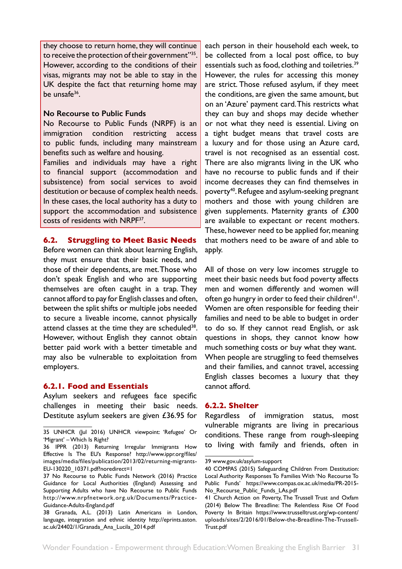<span id="page-30-0"></span>they choose to return home, they will continue to receive the protection of their government"35. However, according to the conditions of their visas, migrants may not be able to stay in the UK despite the fact that returning home may be unsafe36.

#### **No Recourse to Public Funds**

No Recourse to Public Funds (NRPF) is an immigration condition restricting access to public funds, including many mainstream benefits such as welfare and housing.

Families and individuals may have a right to financial support (accommodation and subsistence) from social services to avoid destitution or because of complex health needs. In these cases, the local authority has a duty to support the accommodation and subsistence costs of residents with NRPF37.

## **6.2. Struggling to Meet Basic Needs**

Before women can think about learning English, they must ensure that their basic needs, and those of their dependents, are met. Those who don't speak English and who are supporting themselves are often caught in a trap. They cannot afford to pay for English classes and often, between the split shifts or multiple jobs needed to secure a liveable income, cannot physically attend classes at the time they are scheduled<sup>38</sup>. However, without English they cannot obtain better paid work with a better timetable and may also be vulnerable to exploitation from employers.

## **6.2.1. Food and Essentials**

Asylum seekers and refugees face specific challenges in meeting their basic needs. Destitute asylum seekers are given £36.95 for

each person in their household each week, to be collected from a local post office, to buy essentials such as food, clothing and toiletries.<sup>39</sup> However, the rules for accessing this money are strict. Those refused asylum, if they meet the conditions, are given the same amount, but on an 'Azure' payment card. This restricts what they can buy and shops may decide whether or not what they need is essential. Living on a tight budget means that travel costs are a luxury and for those using an Azure card, travel is not recognised as an essential cost. There are also migrants living in the UK who have no recourse to public funds and if their income decreases they can find themselves in poverty40. Refugee and asylum-seeking pregnant mothers and those with young children are given supplements. Maternity grants of £300 are available to expectant or recent mothers. These, however need to be applied for, meaning that mothers need to be aware of and able to apply.

All of those on very low incomes struggle to meet their basic needs but food poverty affects men and women differently and women will often go hungry in order to feed their children<sup>41</sup>. Women are often responsible for feeding their families and need to be able to budget in order to do so. If they cannot read English, or ask questions in shops, they cannot know how much something costs or buy what they want. When people are struggling to feed themselves and their families, and cannot travel, accessing English classes becomes a luxury that they cannot afford.

#### **6.2.2. Shelter**

Regardless of immigration status, most vulnerable migrants are living in precarious conditions. These range from rough-sleeping to living with family and friends, often in

<sup>35</sup> UNHCR (Jul 2016) UNHCR viewpoint: 'Refugee' Or 'Migrant' – Which Is Right?

<sup>36</sup> IPPR (2013) Returning Irregular Immigrants How Effective Is The EU's Response? http://www.ippr.org/files/ images/media/files/publication/2013/02/returning-migrants-EU-130220\_10371.pdf?noredirect=1

<sup>37</sup> No Recourse to Public Funds Network (2016) Practice Guidance for Local Authorities (England) Assessing and Supporting Adults who have No Recourse to Public Funds http://www.nrpfnetwork.org.uk/Documents/Practice-Guidance-Adults-England.pdf

<sup>38</sup> Granada, A.L. (2013) Latin Americans in London, language, integration and ethnic identity http://eprints.aston. ac.uk/24402/1/Granada\_Ana\_Lucila\_2014.pdf

<sup>39</sup> www.gov.uk/asylum-support

<sup>40</sup> COMPAS (2015) Safeguarding Children From Destitution: Local Authority Responses To Families With 'No Recourse To Public Funds' https://www.compas.ox.ac.uk/media/PR-2015- No\_Recourse\_Public\_Funds\_LAs.pdf

<sup>41</sup> Church Action on Poverty, The Trussell Trust and Oxfam (2014) Below The Breadline: The Relentless Rise Of Food Poverty In Britain https://www.trusselltrust.org/wp-content/ uploads/sites/2/2016/01/Below-the-Breadline-The-Trussell-Trust.pdf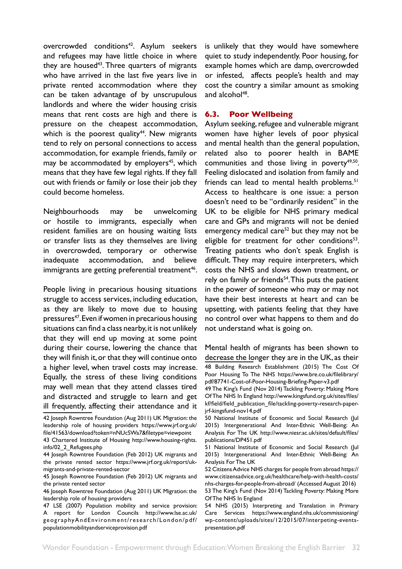<span id="page-31-0"></span>overcrowded conditions<sup>42</sup>. Asylum seekers and refugees may have little choice in where they are housed<sup>43</sup>. Three quarters of migrants who have arrived in the last five years live in private rented accommodation where they can be taken advantage of by unscrupulous landlords and where the wider housing crisis means that rent costs are high and there is pressure on the cheapest accommodation, which is the poorest quality<sup>44</sup>. New migrants tend to rely on personal connections to access accommodation, for example friends, family or may be accommodated by employers<sup>45</sup>, which means that they have few legal rights. If they fall out with friends or family or lose their job they could become homeless.

Neighbourhoods may be unwelcoming or hostile to immigrants, especially when resident families are on housing waiting lists or transfer lists as they themselves are living in overcrowded, temporary or otherwise inadequate accommodation, and believe immigrants are getting preferential treatment<sup>46</sup>.

People living in precarious housing situations struggle to access services, including education, as they are likely to move due to housing pressures<sup>47</sup>. Even if women in precarious housing situations can find a class nearby, it is not unlikely that they will end up moving at some point during their course, lowering the chance that they will finish it, or that they will continue onto a higher level, when travel costs may increase. Equally, the stress of these living conditions may well mean that they attend classes tired and distracted and struggle to learn and get ill frequently, affecting their attendance and it is unlikely that they would have somewhere quiet to study independently. Poor housing, for example homes which are damp, overcrowded or infested, affects people's health and may cost the country a similar amount as smoking and alcohol $48$ .

## **6.3. Poor Wellbeing**

Asylum seeking, refugee and vulnerable migrant women have higher levels of poor physical and mental health than the general population, related also to poorer health in BAME communities and those living in poverty<sup>49,50</sup>. Feeling dislocated and isolation from family and friends can lead to mental health problems.<sup>51</sup> Access to healthcare is one issue: a person doesn't need to be "ordinarily resident" in the UK to be eligible for NHS primary medical care and GPs and migrants will not be denied emergency medical care<sup>52</sup> but they may not be eligible for treatment for other conditions $53$ . Treating patients who don't speak English is difficult. They may require interpreters, which costs the NHS and slows down treatment, or rely on family or friends<sup>54</sup>. This puts the patient in the power of someone who may or may not have their best interests at heart and can be upsetting, with patients feeling that they have no control over what happens to them and do not understand what is going on.

Mental health of migrants has been shown to decrease the longer they are in the UK, as their 48 Building Research Establishment (2015) The Cost Of Poor Housing To The NHS https://www.bre.co.uk/filelibrary/ pdf/87741-Cost-of-Poor-Housing-Briefing-Paper-v3.pdf

<sup>42</sup> Joseph Rowntree Foundation (Aug 2011) UK Migration: the leadership role of housing providers https://www.jrf.org.uk/ file/41563/download?token=nNUcSWa7&filetype=viewpoint

<sup>43</sup> Chartered Institute of Housing http://www.housing-rights. info/02\_2\_Refugees.php

<sup>44</sup> Joseph Rowntree Foundation (Feb 2012) UK migrants and the private rented sector https://www.jrf.org.uk/report/ukmigrants-and-private-rented-sector

<sup>45</sup> Joseph Rowntree Foundation (Feb 2012) UK migrants and the private rented sector

<sup>46</sup> Joseph Rowntree Foundation (Aug 2011) UK Migration: the leadership role of housing providers

<sup>47</sup> LSE (2007) Population mobility and service provision: A report for London Councils http://www.lse.ac.uk/ geographyAndEnvironment/research/London/pdf/ populationmobilityandserviceprovision.pdf

<sup>49</sup> The King's Fund (Nov 2014) Tackling Poverty: Making More Of The NHS In England http://www.kingsfund.org.uk/sites/files/ kf/field/field\_publication\_file/tackling-poverty-research-paperjrf-kingsfund-nov14.pdf

<sup>50</sup> National Institute of Economic and Social Research (Jul 2015) Intergenerational And Inter-Ethnic Well-Being: An Analysis For The UK http://www.niesr.ac.uk/sites/default/files/ publications/DP451.pdf

<sup>51</sup> National Institute of Economic and Social Research (Jul 2015) Intergenerational And Inter-Ethnic Well-Being: An Analysis For The UK

<sup>52</sup> Citizens Advice NHS charges for people from abroad https:// www.citizensadvice.org.uk/healthcare/help-with-health-costs/ nhs-charges-for-people-from-abroad/ (Accessed August 2016)

<sup>53</sup> The King's Fund (Nov 2014) Tackling Poverty: Making More Of The NHS In England

<sup>54</sup> NHS (2015) Interpreting and Translation in Primary Care Services https://www.england.nhs.uk/commissioning/ wp-content/uploads/sites/12/2015/07/interpeting-eventspresentation.pdf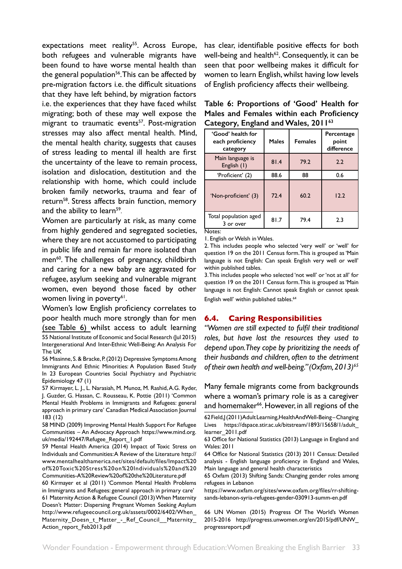<span id="page-32-0"></span>expectations meet reality<sup>55</sup>. Across Europe, both refugees and vulnerable migrants have been found to have worse mental health than the general population<sup>56</sup>. This can be affected by pre-migration factors i.e. the difficult situations that they have left behind, by migration factors i.e. the experiences that they have faced whilst migrating; both of these may well expose the migrant to traumatic events<sup>57</sup>. Post-migration stresses may also affect mental health. Mind, the mental health charity, suggests that causes of stress leading to mental ill health are first the uncertainty of the leave to remain process, isolation and dislocation, destitution and the relationship with home, which could include broken family networks, trauma and fear of return58. Stress affects brain function, memory and the ability to learn<sup>59</sup>.

Women are particularly at risk, as many come from highly gendered and segregated societies, where they are not accustomed to participating in public life and remain far more isolated than men<sup>60</sup>. The challenges of pregnancy, childbirth and caring for a new baby are aggravated for refugee, asylum seeking and vulnerable migrant women, even beyond those faced by other women living in poverty<sup>61</sup>.

Women's low English proficiency correlates to poor health much more strongly than for men (see Table 6) whilst access to adult learning 55 National Institute of Economic and Social Research (Jul 2015) Intergenerational And Inter-Ethnic Well-Being: An Analysis For The UK

56 Missinne, S. & Bracke, P. (2012) Depressive Symptoms Among Immigrants And Ethnic Minorities: A Population Based Study In 23 European Countries Social Psychiatry and Psychiatric Epidemiology 47 (1)

57 Kirmayer, L. J., L. Narasiah, M. Munoz, M. Rashid, A.G. Ryder, J. Guzder, G. Hassan, C. Rousseau, K. Pottie (2011) 'Common Mental Health Problems in Immigrants and Refugees: general approach in primary care' Canadian Medical Association Journal 183 (12)

58 MIND (2009) Improving Mental Health Support For Refugee Communities – An Advocacy Approach https://www.mind.org. uk/media/192447/Refugee\_Report\_1.pdf

59 Mental Health America (2014) Impact of Toxic Stress on Individuals and Communities: A Review of the Literature http:// www.mentalhealthamerica.net/sites/default/files/Impact%20 of%20Toxic%20Stress%20on%20Individuals%20and%20 Communities-A%20Review%20of%20the%20Literature.pdf

60 Kirmayer et al (2011) 'Common Mental Health Problems in Immigrants and Refugees: general approach in primary care' 61 Maternity Action & Refugee Council (2013) When Maternity Doesn't Matter: Dispersing Pregnant Women Seeking Asylum http://www.refugeecouncil.org.uk/assets/0002/6402/When\_ Maternity\_Doesn\_t\_Matter\_-\_Ref\_Council\_\_Maternity\_ Action\_report\_Feb2013.pdf

has clear, identifiable positive effects for both well-being and health $62$ . Consequently, it can be seen that poor wellbeing makes it difficult for women to learn English, whilst having low levels of English proficiency affects their wellbeing.

|  | Table 6: Proportions of 'Good' Health for |  |  |
|--|-------------------------------------------|--|--|
|  | Males and Females within each Proficiency |  |  |
|  | Category, England and Wales, 201163       |  |  |

| 'Good' health for<br>each proficiency<br>category | Males | <b>Females</b> | Percentage<br>point<br>difference |
|---------------------------------------------------|-------|----------------|-----------------------------------|
| Main language is<br>English $(1)$                 | 81.4  | 79.2           | 2.2                               |
| 'Proficient' (2)                                  | 88.6  | 88             | 0.6                               |
| 'Non-proficient' (3)                              | 72.4  | 60.2           | 12.2                              |
| Total population aged<br>3 or over                | 81.7  | 79.4           | 2.3                               |

Notes:

1. English or Welsh in Wales.

2. This includes people who selected 'very well' or 'well' for question 19 on the 2011 Census form. This is grouped as 'Main language is not English: Can speak English very well or well' within published tables.

3. This includes people who selected 'not well' or 'not at all' for question 19 on the 2011 Census form. This is grouped as 'Main language is not English: Cannot speak English or cannot speak English well' within published tables.<sup>64</sup>

# **6.4. Caring Responsibilities**

*"Women are still expected to fulfil their traditional roles, but have lost the resources they used to depend upon. They cope by prioritizing the needs of their husbands and children, often to the detriment*  of their own health and well-being." (Oxfam, 2013)<sup>65</sup>

Many female migrants come from backgrounds where a woman's primary role is as a caregiver and homemaker<sup>66</sup>. However, in all regions of the

https://www.oxfam.org/sites/www.oxfam.org/files/rr-shiftingsands-lebanon-syria-refugees-gender-030913-summ-en.pdf

66 UN Women (2015) Progress Of The World's Women 2015-2016 http://progress.unwomen.org/en/2015/pdf/UNW\_ progressreport.pdf

<sup>62</sup> Field, J (2011) Adult Learning, Health And Well-Being - Changing Lives https://dspace.stir.ac.uk/bitstream/1893/15658/1/adult\_ learner\_2011.pdf

<sup>63</sup> Office for National Statistics (2013) Language in England and Wales: 2011

<sup>64</sup> Office for National Statistics (2013) 2011 Census: Detailed analysis - English language proficiency in England and Wales, Main language and general health characteristics

<sup>65</sup> Oxfam (2013) Shifting Sands: Changing gender roles among refugees in Lebanon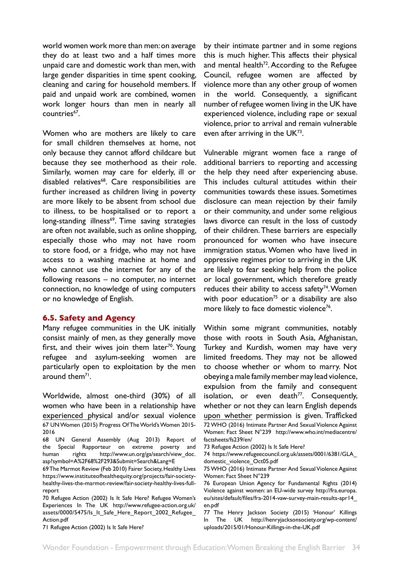<span id="page-33-0"></span>world women work more than men: on average they do at least two and a half times more unpaid care and domestic work than men, with large gender disparities in time spent cooking, cleaning and caring for household members. If paid and unpaid work are combined, women work longer hours than men in nearly all countries<sup>67</sup>.

Women who are mothers are likely to care for small children themselves at home, not only because they cannot afford childcare but because they see motherhood as their role. Similarly, women may care for elderly, ill or disabled relatives<sup>68</sup>. Care responsibilities are further increased as children living in poverty are more likely to be absent from school due to illness, to be hospitalised or to report a long-standing illness<sup>69</sup>. Time saving strategies are often not available, such as online shopping, especially those who may not have room to store food, or a fridge, who may not have access to a washing machine at home and who cannot use the internet for any of the following reasons – no computer, no internet connection, no knowledge of using computers or no knowledge of English.

## **6.5. Safety and Agency**

Many refugee communities in the UK initially consist mainly of men, as they generally move first, and their wives join them later<sup>70</sup>. Young refugee and asylum-seeking women are particularly open to exploitation by the men around them<sup>71</sup>.

Worldwide, almost one-third (30%) of all women who have been in a relationship have experienced physical and/or sexual violence 67 UN Women (2015) Progress Of The World's Women 2015- 2016

70 Refugee Action (2002) Is It Safe Here? Refugee Women's Experiences In The UK http://www.refugee-action.org.uk/ assets/0000/5475/Is\_It\_Safe\_Here\_Report\_2002\_Refugee\_ Action.pdf

71 Refugee Action (2002) Is It Safe Here?

by their intimate partner and in some regions this is much higher. This affects their physical and mental health $72$ . According to the Refugee Council, refugee women are affected by violence more than any other group of women in the world. Consequently, a significant number of refugee women living in the UK have experienced violence, including rape or sexual violence, prior to arrival and remain vulnerable even after arriving in the UK73.

Vulnerable migrant women face a range of additional barriers to reporting and accessing the help they need after experiencing abuse. This includes cultural attitudes within their communities towards these issues. Sometimes disclosure can mean rejection by their family or their community, and under some religious laws divorce can result in the loss of custody of their children. These barriers are especially pronounced for women who have insecure immigration status. Women who have lived in oppressive regimes prior to arriving in the UK are likely to fear seeking help from the police or local government, which therefore greatly reduces their ability to access safety<sup>74</sup>. Women with poor education<sup>75</sup> or a disability are also more likely to face domestic violence<sup>76</sup>.

Within some migrant communities, notably those with roots in South Asia, Afghanistan, Turkey and Kurdish, women may have very limited freedoms. They may not be allowed to choose whether or whom to marry. Not obeying a male family member may lead violence, expulsion from the family and consequent isolation, or even death $^{77}$ . Consequently, whether or not they can learn English depends upon whether permission is given. Trafficked 72 WHO (2016) Intimate Partner And Sexual Violence Against Women: Fact Sheet N°239 http://www.who.int/mediacentre/ factsheets/fs239/en/

73 Refugee Action (2002) Is It Safe Here?

74 https://www.refugeecouncil.org.uk/assets/0001/6381/GLA\_ domestic\_violence\_Oct05.pdf

<sup>68</sup> UN General Assembly (Aug 2013) Report of the Special Rapporteur on extreme poverty and human rights http://www.un.org/ga/search/view\_doc. asp?symbol=A%2F68%2F293&Submit=Search&Lang=E

<sup>69</sup> The Marmot Review (Feb 2010) Fairer Society, Healthy Lives https://www.instituteofhealthequity.org/projects/fair-societyhealthy-lives-the-marmot-review/fair-society-healthy-lives-fullreport

<sup>75</sup> WHO (2016) Intimate Partner And Sexual Violence Against Women: Fact Sheet N°239

<sup>76</sup> European Union Agency for Fundamental Rights (2014) Violence against women: an EU-wide survey http://fra.europa. eu/sites/default/files/fra-2014-vaw-survey-main-results-apr14\_ en.pdf

<sup>77</sup> The Henry Jackson Society (2015) 'Honour' Killings In The UK http://henryjacksonsociety.org/wp-content/ uploads/2015/01/Honour-Killings-in-the-UK.pdf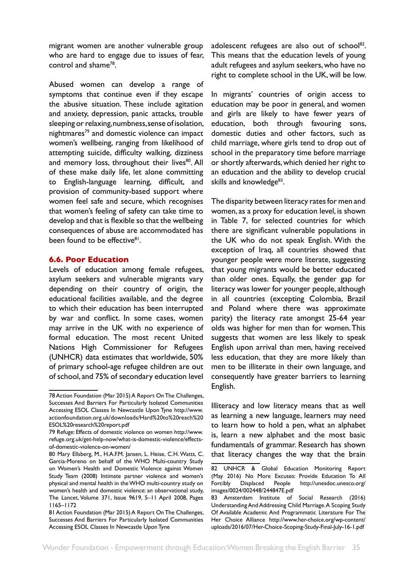<span id="page-34-0"></span>migrant women are another vulnerable group who are hard to engage due to issues of fear, control and shame78.

Abused women can develop a range of symptoms that continue even if they escape the abusive situation. These include agitation and anxiety, depression, panic attacks, trouble sleeping or relaxing, numbness, sense of isolation, nightmares<sup>79</sup> and domestic violence can impact women's wellbeing, ranging from likelihood of attempting suicide, difficulty walking, dizziness and memory loss, throughout their lives<sup>80</sup>. All of these make daily life, let alone committing to English-language learning, difficult, and provision of community-based support where women feel safe and secure, which recognises that women's feeling of safety can take time to develop and that is flexible so that the wellbeing consequences of abuse are accommodated has been found to be effective<sup>81</sup>.

#### **6.6. Poor Education**

Levels of education among female refugees, asylum seekers and vulnerable migrants vary depending on their country of origin, the educational facilities available, and the degree to which their education has been interrupted by war and conflict. In some cases, women may arrive in the UK with no experience of formal education. The most recent United Nations High Commissioner for Refugees (UNHCR) data estimates that worldwide, 50% of primary school-age refugee children are out of school, and 75% of secondary education level

adolescent refugees are also out of school<sup>82</sup>. This means that the education levels of young adult refugees and asylum seekers, who have no right to complete school in the UK, will be low.

In migrants' countries of origin access to education may be poor in general, and women and girls are likely to have fewer years of education, both through favouring sons, domestic duties and other factors, such as child marriage, where girls tend to drop out of school in the preparatory time before marriage or shortly afterwards, which denied her right to an education and the ability to develop crucial skills and knowledge<sup>83</sup>.

The disparity between literacy rates for men and women, as a proxy for education level, is shown in Table 7, for selected countries for which there are significant vulnerable populations in the UK who do not speak English. With the exception of Iraq, all countries showed that younger people were more literate, suggesting that young migrants would be better educated than older ones. Equally, the gender gap for literacy was lower for younger people, although in all countries (excepting Colombia, Brazil and Poland where there was approximate parity) the literacy rate amongst 25-64 year olds was higher for men than for women. This suggests that women are less likely to speak English upon arrival than men, having received less education, that they are more likely than men to be illiterate in their own language, and consequently have greater barriers to learning English.

Illiteracy and low literacy means that as well as learning a new language, learners may need to learn how to hold a pen, what an alphabet is, learn a new alphabet and the most basic fundamentals of grammar. Research has shown that literacy changes the way that the brain

<sup>78</sup> Action Foundation (Mar 2015) A Report On The Challenges, Successes And Barriers For Particularly Isolated Communities Accessing ESOL Classes In Newcastle Upon Tyne http://www. actionfoundation.org.uk/downloads/Hard%20to%20reach%20 ESOL%20research%20report.pdf

<sup>79</sup> Refuge: Effects of domestic violence on women http://www. refuge.org.uk/get-help-now/what-is-domestic-violence/effectsof-domestic-violence-on-women/

<sup>80</sup> Mary Ellsberg, M., H.A.F.M. Jansen, L. Heise, C.H. Watts, C. Garcia-Moreno on behalf of the WHO Multi-country Study on Women's Health and Domestic Violence against Women Study Team (2008) Intimate partner violence and women's physical and mental health in the WHO multi-country study on women's health and domestic violence: an observational study, The Lancet, Volume 371, Issue 9619, 5–11 April 2008, Pages 1165–1172

<sup>81</sup> Action Foundation (Mar 2015) A Report On The Challenges, Successes And Barriers For Particularly Isolated Communities Accessing ESOL Classes In Newcastle Upon Tyne

<sup>82</sup> UNHCR & Global Education Monitoring Report (May 2016) No More Excuses: Provide Education To All Forcibly Displaced People http://unesdoc.unesco.org/ images/0024/002448/244847E.pdf

<sup>83</sup> Amsterdam Institute of Social Research (2016) Understanding And Addressing Child Marriage. A Scoping Study Of Available Academic And Programmatic Literature For The Her Choice Alliance http://www.her-choice.org/wp-content/ uploads/2016/07/Her-Choice-Scoping-Study-Final-July-16-1.pdf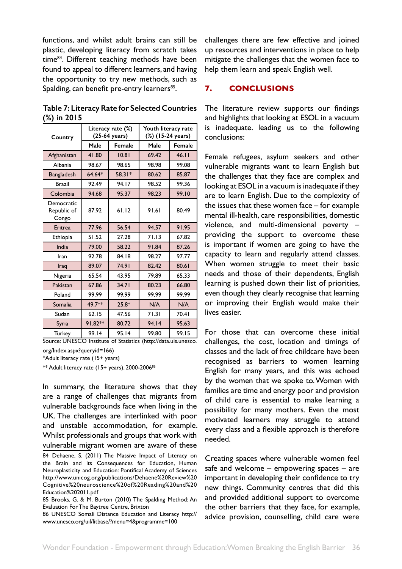<span id="page-35-0"></span>functions, and whilst adult brains can still be plastic, developing literacy from scratch takes time<sup>84</sup>. Different teaching methods have been found to appeal to different learners, and having the opportunity to try new methods, such as Spalding, can benefit pre-entry learners<sup>85</sup>.

**Table 7: Literacy Rate for Selected Countries (%) in 2015**

| Country                            |         | Literacy rate (%)<br>(25-64 years) | Youth literacy rate<br>(%) (15-24 years) |        |
|------------------------------------|---------|------------------------------------|------------------------------------------|--------|
|                                    | Male    | Female                             | Male                                     | Female |
| Afghanistan                        | 41.80   | 10.81                              | 69.42                                    | 46.11  |
| Albania                            | 98.67   | 98.65                              | 98.98                                    | 99.08  |
| Bangladesh                         | 64.64*  | 58.31*                             | 80.62                                    | 85.87  |
| <b>Brazil</b>                      | 92.49   | 94.17                              | 98.52                                    | 99.36  |
| Colombia                           | 94.68   | 95.37                              | 98.23                                    | 99.10  |
| Democratic<br>Republic of<br>Congo | 87.92   | 61.12                              | 91.61                                    | 80.49  |
| Eritrea                            | 77.96   | 56.54                              | 94.57                                    | 91.95  |
| Ethiopia                           | 51.52   | 27.28                              | 71.13                                    | 67.82  |
| India                              | 79.00   | 58.22                              | 91.84                                    | 87.26  |
| Iran                               | 92.78   | 84.18                              | 98.27                                    | 97.77  |
| Iraq                               | 89.07   | 74.91                              | 82.42                                    | 80.61  |
| Nigeria                            | 65.54   | 43.95                              | 79.89                                    | 65.33  |
| Pakistan                           | 67.86   | 34.71                              | 80.23                                    | 66.80  |
| Poland                             | 99.99   | 99.99                              | 99.99                                    | 99.99  |
| Somalia                            | 49.7**  | $25.8*$                            | N/A                                      | N/A    |
| Sudan                              | 62.15   | 47.56                              | 71.31                                    | 70.41  |
| Syria                              | 91.82** | 80.72                              | 94.14                                    | 95.63  |
| <b>Turkey</b>                      | 99.14   | 95.14                              | 99.80                                    | 99.15  |

Source: UNESCO Institute of Statistics (http://data.uis.unesco. org/Index.aspx?queryid=166)

\*Adult literacy rate (15+ years)

 $**$  Adult literacy rate (15+ years), 2000-2006 $$^{86}$ 

In summary, the literature shows that they are a range of challenges that migrants from vulnerable backgrounds face when living in the UK. The challenges are interlinked with poor and unstable accommodation, for example. Whilst professionals and groups that work with vulnerable migrant women are aware of these

challenges there are few effective and joined up resources and interventions in place to help mitigate the challenges that the women face to help them learn and speak English well.

# **7. CONCLUSIONS**

The literature review supports our findings and highlights that looking at ESOL in a vacuum is inadequate. leading us to the following conclusions:

Female refugees, asylum seekers and other vulnerable migrants want to learn English but the challenges that they face are complex and looking at ESOL in a vacuum is inadequate if they are to learn English. Due to the complexity of the issues that these women face – for example mental ill-health, care responsibilities, domestic violence, and multi-dimensional poverty – providing the support to overcome these is important if women are going to have the capacity to learn and regularly attend classes. When women struggle to meet their basic needs and those of their dependents, English learning is pushed down their list of priorities, even though they clearly recognise that learning or improving their English would make their lives easier.

For those that can overcome these initial challenges, the cost, location and timings of classes and the lack of free childcare have been recognised as barriers to women learning English for many years, and this was echoed by the women that we spoke to. Women with families are time and energy poor and provision of child care is essential to make learning a possibility for many mothers. Even the most motivated learners may struggle to attend every class and a flexible approach is therefore needed.

Creating spaces where vulnerable women feel safe and welcome – empowering spaces – are important in developing their confidence to try new things. Community centres that did this and provided additional support to overcome the other barriers that they face, for example, advice provision, counselling, child care were

<sup>84</sup> Dehaene, S. (2011) The Massive Impact of Literacy on the Brain and its Consequences for Education, Human Neuroplasticity and Education: Pontifical Academy of Sciences http://www.unicog.org/publications/Dehaene%20Review%20 Cognitive%20neuroscience%20of%20Reading%20and%20 Education%202011.pdf

<sup>85</sup> Brooks, G. & M. Burton (2010) The Spalding Method: An Evaluation For The Baytree Centre, Brixton

<sup>86</sup> UNESCO Somali Distance Education and Literacy http:// www.unesco.org/uil/litbase/?menu=4&programme=100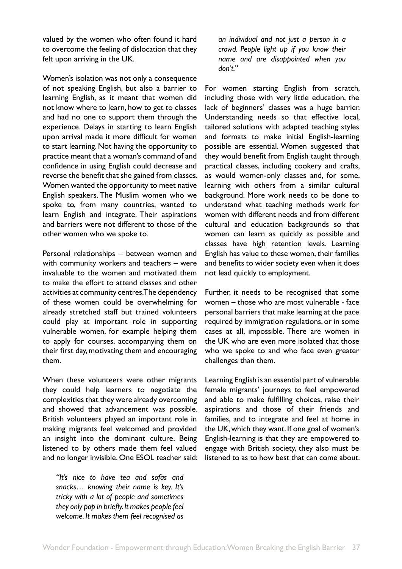valued by the women who often found it hard to overcome the feeling of dislocation that they felt upon arriving in the UK.

Women's isolation was not only a consequence of not speaking English, but also a barrier to learning English, as it meant that women did not know where to learn, how to get to classes and had no one to support them through the experience. Delays in starting to learn English upon arrival made it more difficult for women to start learning. Not having the opportunity to practice meant that a woman's command of and confidence in using English could decrease and reverse the benefit that she gained from classes. Women wanted the opportunity to meet native English speakers. The Muslim women who we spoke to, from many countries, wanted to learn English and integrate. Their aspirations and barriers were not different to those of the other women who we spoke to.

Personal relationships – between women and with community workers and teachers – were invaluable to the women and motivated them to make the effort to attend classes and other activities at community centres. The dependency of these women could be overwhelming for already stretched staff but trained volunteers could play at important role in supporting vulnerable women, for example helping them to apply for courses, accompanying them on their first day, motivating them and encouraging them.

When these volunteers were other migrants they could help learners to negotiate the complexities that they were already overcoming and showed that advancement was possible. British volunteers played an important role in making migrants feel welcomed and provided an insight into the dominant culture. Being listened to by others made them feel valued and no longer invisible. One ESOL teacher said:

*"It's nice to have tea and sofas and snacks… knowing their name is key. It's tricky with a lot of people and sometimes they only pop in briefly. It makes people feel welcome. It makes them feel recognised as*  *an individual and not just a person in a crowd. People light up if you know their name and are disappointed when you don't."*

For women starting English from scratch, including those with very little education, the lack of beginners' classes was a huge barrier. Understanding needs so that effective local, tailored solutions with adapted teaching styles and formats to make initial English-learning possible are essential. Women suggested that they would benefit from English taught through practical classes, including cookery and crafts, as would women-only classes and, for some, learning with others from a similar cultural background. More work needs to be done to understand what teaching methods work for women with different needs and from different cultural and education backgrounds so that women can learn as quickly as possible and classes have high retention levels. Learning English has value to these women, their families and benefits to wider society even when it does not lead quickly to employment.

Further, it needs to be recognised that some women – those who are most vulnerable - face personal barriers that make learning at the pace required by immigration regulations, or in some cases at all, impossible. There are women in the UK who are even more isolated that those who we spoke to and who face even greater challenges than them.

Learning English is an essential part of vulnerable female migrants' journeys to feel empowered and able to make fulfilling choices, raise their aspirations and those of their friends and families, and to integrate and feel at home in the UK, which they want. If one goal of women's English-learning is that they are empowered to engage with British society, they also must be listened to as to how best that can come about.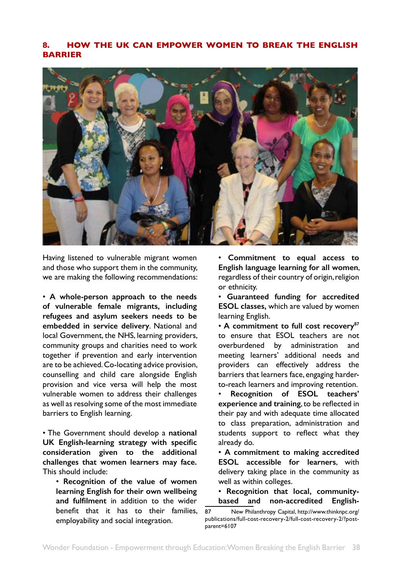# <span id="page-37-0"></span>**8. HOW THE UK CAN EMPOWER WOMEN TO BREAK THE ENGLISH BARRIER**



Having listened to vulnerable migrant women and those who support them in the community, we are making the following recommendations:

• **A whole-person approach to the needs of vulnerable female migrants, including refugees and asylum seekers needs to be embedded in service delivery**. National and local Government, the NHS, learning providers, community groups and charities need to work together if prevention and early intervention are to be achieved. Co-locating advice provision, counselling and child care alongside English provision and vice versa will help the most vulnerable women to address their challenges as well as resolving some of the most immediate barriers to English learning.

• The Government should develop a **national UK English-learning strategy with specific consideration given to the additional challenges that women learners may face.**  This should include:

• **Recognition of the value of women learning English for their own wellbeing and fulfilment** in addition to the wider benefit that it has to their families, employability and social integration.

• **Commitment to equal access to English language learning for all women**, regardless of their country of origin, religion or ethnicity.

• **Guaranteed funding for accredited ESOL classes,** which are valued by women learning English.

• **A commitment to full cost recovery87** to ensure that ESOL teachers are not overburdened by administration and meeting learners' additional needs and providers can effectively address the barriers that learners face, engaging harderto-reach learners and improving retention.

• **Recognition of ESOL teachers' experience and training**, to be reflected in their pay and with adequate time allocated to class preparation, administration and students support to reflect what they already do.

• **A commitment to making accredited ESOL accessible for learners**, with delivery taking place in the community as well as within colleges.

• **Recognition that local, communitybased and non-accredited English-**

<sup>87</sup> New Philanthropy Capital, http://www.thinknpc.org/ publications/full-cost-recovery-2/full-cost-recovery-2/?postparent=6107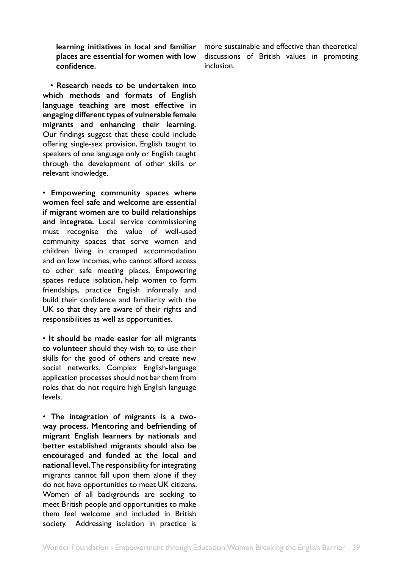**learning initiatives in local and familiar places are essential for women with low confidence.**

• **Research needs to be undertaken into which methods and formats of English language teaching are most effective in engaging different types of vulnerable female migrants and enhancing their learning.**  Our findings suggest that these could include offering single-sex provision, English taught to speakers of one language only or English taught through the development of other skills or relevant knowledge.

• **Empowering community spaces where women feel safe and welcome are essential if migrant women are to build relationships and integrate.** Local service commissioning must recognise the value of well-used community spaces that serve women and children living in cramped accommodation and on low incomes, who cannot afford access to other safe meeting places. Empowering spaces reduce isolation, help women to form friendships, practice English informally and build their confidence and familiarity with the UK so that they are aware of their rights and responsibilities as well as opportunities.

• **It should be made easier for all migrants to volunteer** should they wish to, to use their skills for the good of others and create new social networks. Complex English-language application processes should not bar them from roles that do not require high English language levels.

• **The integration of migrants is a twoway process. Mentoring and befriending of migrant English learners by nationals and better established migrants should also be encouraged and funded at the local and national level.** The responsibility for integrating migrants cannot fall upon them alone if they do not have opportunities to meet UK citizens. Women of all backgrounds are seeking to meet British people and opportunities to make them feel welcome and included in British society. Addressing isolation in practice is

more sustainable and effective than theoretical discussions of British values in promoting inclusion.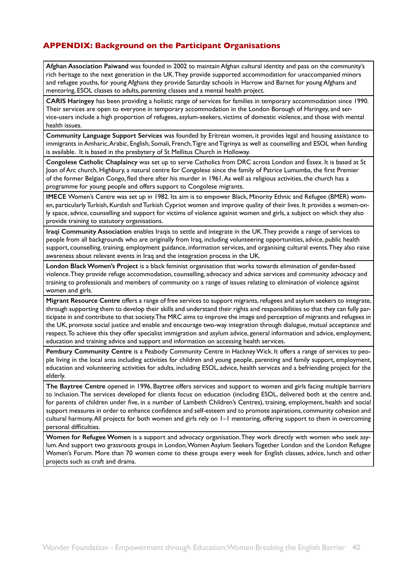# <span id="page-39-0"></span>**APPENDIX: Background on the Participant Organisations**

**Afghan Association Paiwand** was founded in 2002 to maintain Afghan cultural identity and pass on the community's rich heritage to the next generation in the UK. They provide supported accommodation for unaccompanied minors and refugee youths, for young Afghans they provide Saturday schools in Harrow and Barnet for young Afghans and mentoring, ESOL classes to adults, parenting classes and a mental health project.

**CARIS Haringey** has been providing a holistic range of services for families in temporary accommodation since 1990. Their services are open to everyone in temporary accommodation in the London Borough of Haringey, and service-users include a high proportion of refugees, asylum-seekers, victims of domestic violence, and those with mental health issues.

**Community Language Support Services** was founded by Eritrean women, it provides legal and housing assistance to immigrants in Amharic, Arabic, English, Somali, French, Tigre and Tigrinya as well as counselling and ESOL when funding is available. It is based in the presbytery of St Mellitus Church in Holloway.

**Congolese Catholic Chaplaincy** was set up to serve Catholics from DRC across London and Essex. It is based at St Joan of Arc church, Highbury, a natural centre for Congolese since the family of Patrice Lumumba, the first Premier of the former Belgian Congo, fled there after his murder in 1961. As well as religious activities, the church has a programme for young people and offers support to Congolese migrants.

**IMECE** Women's Centre was set up in 1982. Its aim is to empower Black, Minority Ethnic and Refugee (BMER) women, particularly Turkish, Kurdish and Turkish Cypriot women and improve quality of their lives. It provides a women-only space, advice, counselling and support for victims of violence against women and girls, a subject on which they also provide training to statutory organisations.

**Iraqi Community Association** enables Iraqis to settle and integrate in the UK. They provide a range of services to people from all backgrounds who are originally from Iraq, including volunteering opportunities, advice, public health support, counselling, training, employment guidance, information services, and organising cultural events. They also raise awareness about relevant events in Iraq and the integration process in the UK.

**London Black Women's Project** is a black feminist organisation that works towards elimination of gender-based violence. They provide refuge accommodation, counselling, advocacy and advice services and community advocacy and training to professionals and members of community on a range of issues relating to elimination of violence against women and girls.

**Migrant Resource Centre** offers a range of free services to support migrants, refugees and asylum seekers to integrate, through supporting them to develop their skills and understand their rights and responsibilities so that they can fully participate in and contribute to that society. The MRC aims to improve the image and perception of migrants and refugees in the UK, promote social justice and enable and encourage two-way integration through dialogue, mutual acceptance and respect. To achieve this they offer specialist immigration and asylum advice, general information and advice, employment, education and training advice and support and information on accessing health services.

**Pembury Community Centre** is a Peabody Community Centre in Hackney Wick. It offers a range of services to people living in the local area including activities for children and young people, parenting and family support, employment, education and volunteering activities for adults, including ESOL, advice, health services and a befriending project for the elderly.

**The Baytree Centre** opened in 1996, Baytree offers services and support to women and girls facing multiple barriers to inclusion. The services developed for clients focus on education (including ESOL, delivered both at the centre and, for parents of children under five, in a number of Lambeth Children's Centres), training, employment, health and social support measures in order to enhance confidence and self-esteem and to promote aspirations, community cohesion and cultural harmony. All projects for both women and girls rely on 1–1 mentoring, offering support to them in overcoming personal difficulties.

**Women for Refugee Women** is a support and advocacy organisation. They work directly with women who seek asylum. And support two grassroots groups in London, Women Asylum Seekers Together London and the London Refugee Women's Forum. More than 70 women come to these groups every week for English classes, advice, lunch and other projects such as craft and drama.